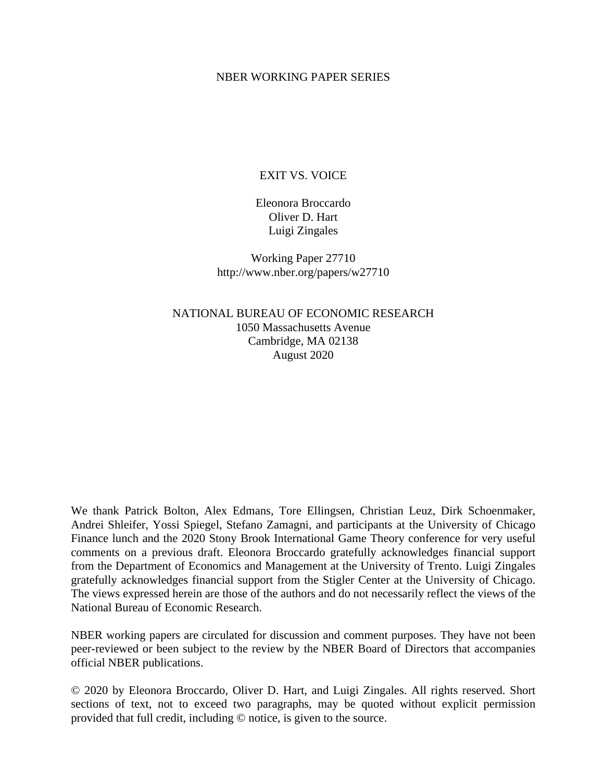## NBER WORKING PAPER SERIES

# EXIT VS. VOICE

Eleonora Broccardo Oliver D. Hart Luigi Zingales

Working Paper 27710 http://www.nber.org/papers/w27710

NATIONAL BUREAU OF ECONOMIC RESEARCH 1050 Massachusetts Avenue Cambridge, MA 02138 August 2020

We thank Patrick Bolton, Alex Edmans, Tore Ellingsen, Christian Leuz, Dirk Schoenmaker, Andrei Shleifer, Yossi Spiegel, Stefano Zamagni, and participants at the University of Chicago Finance lunch and the 2020 Stony Brook International Game Theory conference for very useful comments on a previous draft. Eleonora Broccardo gratefully acknowledges financial support from the Department of Economics and Management at the University of Trento. Luigi Zingales gratefully acknowledges financial support from the Stigler Center at the University of Chicago. The views expressed herein are those of the authors and do not necessarily reflect the views of the National Bureau of Economic Research.

NBER working papers are circulated for discussion and comment purposes. They have not been peer-reviewed or been subject to the review by the NBER Board of Directors that accompanies official NBER publications.

© 2020 by Eleonora Broccardo, Oliver D. Hart, and Luigi Zingales. All rights reserved. Short sections of text, not to exceed two paragraphs, may be quoted without explicit permission provided that full credit, including © notice, is given to the source.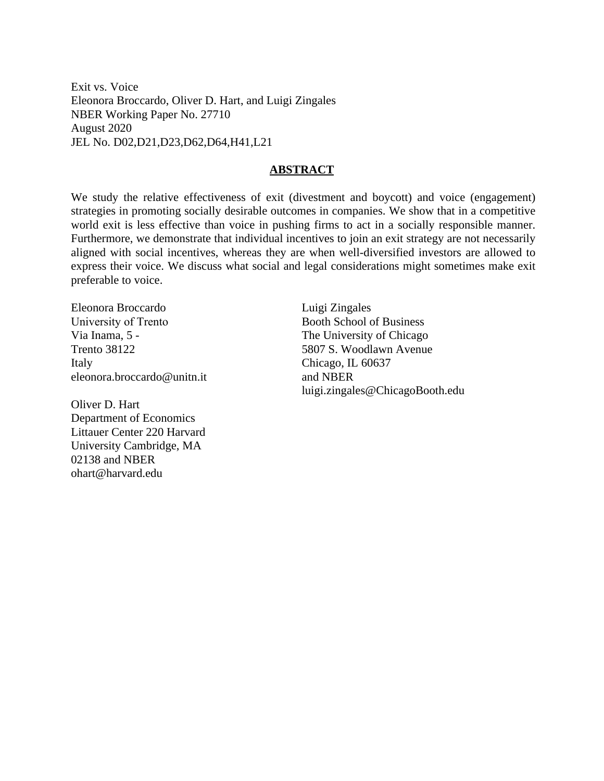Exit vs. Voice Eleonora Broccardo, Oliver D. Hart, and Luigi Zingales NBER Working Paper No. 27710 August 2020 JEL No. D02,D21,D23,D62,D64,H41,L21

# **ABSTRACT**

We study the relative effectiveness of exit (divestment and boycott) and voice (engagement) strategies in promoting socially desirable outcomes in companies. We show that in a competitive world exit is less effective than voice in pushing firms to act in a socially responsible manner. Furthermore, we demonstrate that individual incentives to join an exit strategy are not necessarily aligned with social incentives, whereas they are when well-diversified investors are allowed to express their voice. We discuss what social and legal considerations might sometimes make exit preferable to voice.

Eleonora Broccardo University of Trento Via Inama, 5 - Trento 38122 Italy eleonora.broccardo@unitn.it

Oliver D. Hart Department of Economics Littauer Center 220 Harvard University Cambridge, MA 02138 and NBER ohart@harvard.edu

Luigi Zingales Booth School of Business The University of Chicago 5807 S. Woodlawn Avenue Chicago, IL 60637 and NBER luigi.zingales@ChicagoBooth.edu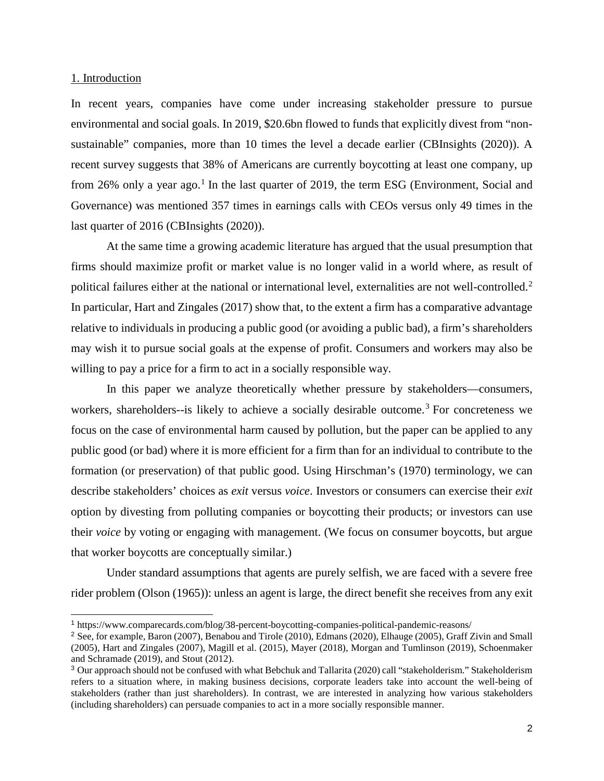#### 1. Introduction

j

In recent years, companies have come under increasing stakeholder pressure to pursue environmental and social goals. In 2019, \$20.6bn flowed to funds that explicitly divest from "nonsustainable" companies, more than 10 times the level a decade earlier (CBInsights (2020)). A recent survey suggests that 38% of Americans are currently boycotting at least one company, up from 26% only a year ago.<sup>[1](#page-2-0)</sup> In the last quarter of 2019, the term ESG (Environment, Social and Governance) was mentioned 357 times in earnings calls with CEOs versus only 49 times in the last quarter of 2016 (CBInsights (2020)).

At the same time a growing academic literature has argued that the usual presumption that firms should maximize profit or market value is no longer valid in a world where, as result of political failures either at the national or international level, externalities are not well-controlled.<sup>[2](#page-2-1)</sup> In particular, Hart and Zingales (2017) show that, to the extent a firm has a comparative advantage relative to individuals in producing a public good (or avoiding a public bad), a firm's shareholders may wish it to pursue social goals at the expense of profit. Consumers and workers may also be willing to pay a price for a firm to act in a socially responsible way.

 In this paper we analyze theoretically whether pressure by stakeholders—consumers, workers, shareholders--is likely to achieve a socially desirable outcome.<sup>[3](#page-2-2)</sup> For concreteness we focus on the case of environmental harm caused by pollution, but the paper can be applied to any public good (or bad) where it is more efficient for a firm than for an individual to contribute to the formation (or preservation) of that public good. Using Hirschman's (1970) terminology, we can describe stakeholders' choices as *exit* versus *voice*. Investors or consumers can exercise their *exit* option by divesting from polluting companies or boycotting their products; or investors can use their *voice* by voting or engaging with management. (We focus on consumer boycotts, but argue that worker boycotts are conceptually similar.)

Under standard assumptions that agents are purely selfish, we are faced with a severe free rider problem (Olson (1965)): unless an agent is large, the direct benefit she receives from any exit

<span id="page-2-0"></span><sup>1</sup> https://www.comparecards.com/blog/38-percent-boycotting-companies-political-pandemic-reasons/

<span id="page-2-1"></span><sup>2</sup> See, for example, Baron (2007), Benabou and Tirole (2010), Edmans (2020), Elhauge (2005), Graff Zivin and Small (2005), Hart and Zingales (2007), Magill et al. (2015), Mayer (2018), Morgan and Tumlinson (2019), Schoenmaker and Schramade (2019), and Stout (2012).

<span id="page-2-2"></span><sup>3</sup> Our approach should not be confused with what Bebchuk and Tallarita (2020) call "stakeholderism." Stakeholderism refers to a situation where, in making business decisions, corporate leaders take into account the well-being of stakeholders (rather than just shareholders). In contrast, we are interested in analyzing how various stakeholders (including shareholders) can persuade companies to act in a more socially responsible manner.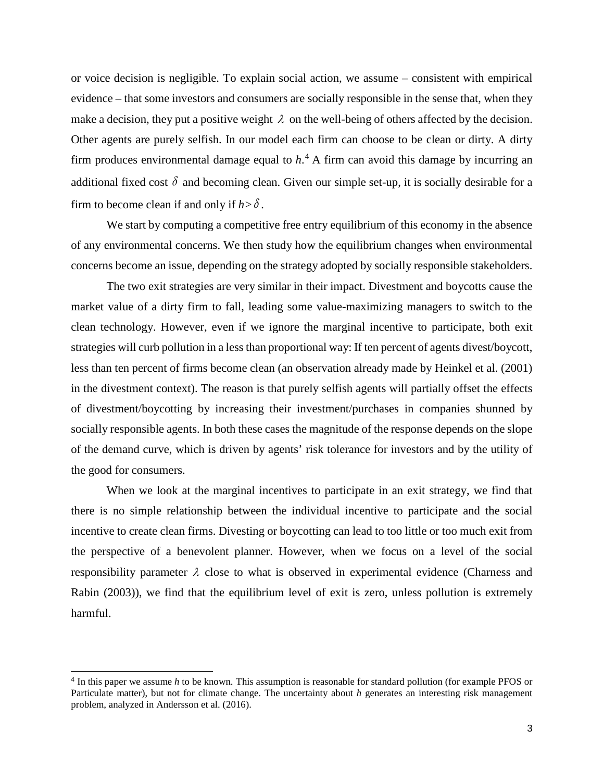or voice decision is negligible. To explain social action, we assume – consistent with empirical evidence – that some investors and consumers are socially responsible in the sense that, when they make a decision, they put a positive weight  $\lambda$  on the well-being of others affected by the decision. Other agents are purely selfish. In our model each firm can choose to be clean or dirty. A dirty firm produces environmental damage equal to *h*. [4](#page-3-0) A firm can avoid this damage by incurring an additional fixed cost  $\delta$  and becoming clean. Given our simple set-up, it is socially desirable for a firm to become clean if and only if  $h > \delta$ .

We start by computing a competitive free entry equilibrium of this economy in the absence of any environmental concerns. We then study how the equilibrium changes when environmental concerns become an issue, depending on the strategy adopted by socially responsible stakeholders.

The two exit strategies are very similar in their impact. Divestment and boycotts cause the market value of a dirty firm to fall, leading some value-maximizing managers to switch to the clean technology. However, even if we ignore the marginal incentive to participate, both exit strategies will curb pollution in a less than proportional way: If ten percent of agents divest/boycott, less than ten percent of firms become clean (an observation already made by Heinkel et al. (2001) in the divestment context). The reason is that purely selfish agents will partially offset the effects of divestment/boycotting by increasing their investment/purchases in companies shunned by socially responsible agents. In both these cases the magnitude of the response depends on the slope of the demand curve, which is driven by agents' risk tolerance for investors and by the utility of the good for consumers.

When we look at the marginal incentives to participate in an exit strategy, we find that there is no simple relationship between the individual incentive to participate and the social incentive to create clean firms. Divesting or boycotting can lead to too little or too much exit from the perspective of a benevolent planner. However, when we focus on a level of the social responsibility parameter  $\lambda$  close to what is observed in experimental evidence (Charness and Rabin (2003)), we find that the equilibrium level of exit is zero, unless pollution is extremely harmful.

-

<span id="page-3-0"></span><sup>4</sup> In this paper we assume *h* to be known. This assumption is reasonable for standard pollution (for example PFOS or Particulate matter), but not for climate change. The uncertainty about *h* generates an interesting risk management problem, analyzed in Andersson et al. (2016).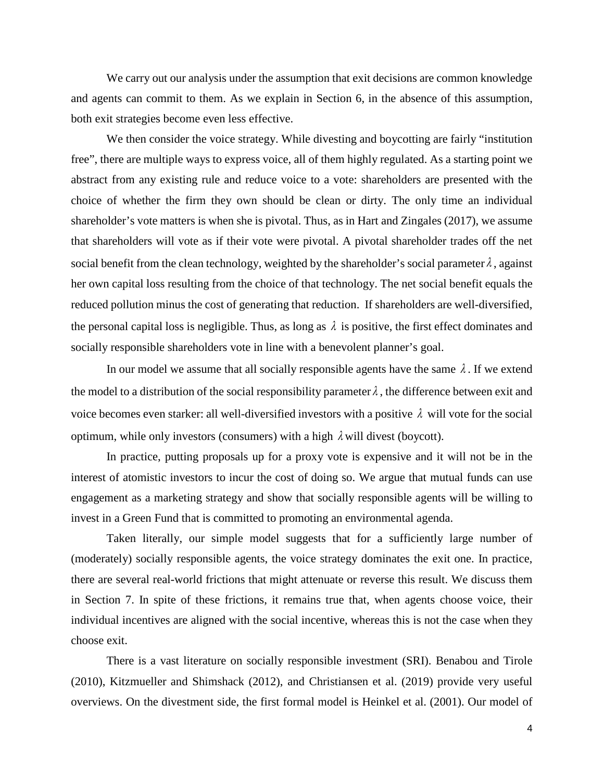We carry out our analysis under the assumption that exit decisions are common knowledge and agents can commit to them. As we explain in Section 6, in the absence of this assumption, both exit strategies become even less effective.

We then consider the voice strategy. While divesting and boycotting are fairly "institution" free", there are multiple ways to express voice, all of them highly regulated. As a starting point we abstract from any existing rule and reduce voice to a vote: shareholders are presented with the choice of whether the firm they own should be clean or dirty. The only time an individual shareholder's vote matters is when she is pivotal. Thus, as in Hart and Zingales (2017), we assume that shareholders will vote as if their vote were pivotal. A pivotal shareholder trades off the net social benefit from the clean technology, weighted by the shareholder's social parameter  $\lambda$ , against her own capital loss resulting from the choice of that technology. The net social benefit equals the reduced pollution minus the cost of generating that reduction. If shareholders are well-diversified, the personal capital loss is negligible. Thus, as long as  $\lambda$  is positive, the first effect dominates and socially responsible shareholders vote in line with a benevolent planner's goal.

In our model we assume that all socially responsible agents have the same  $\lambda$ . If we extend the model to a distribution of the social responsibility parameter  $\lambda$ , the difference between exit and voice becomes even starker: all well-diversified investors with a positive  $\lambda$  will vote for the social optimum, while only investors (consumers) with a high  $\lambda$  will divest (boycott).

In practice, putting proposals up for a proxy vote is expensive and it will not be in the interest of atomistic investors to incur the cost of doing so. We argue that mutual funds can use engagement as a marketing strategy and show that socially responsible agents will be willing to invest in a Green Fund that is committed to promoting an environmental agenda.

Taken literally, our simple model suggests that for a sufficiently large number of (moderately) socially responsible agents, the voice strategy dominates the exit one. In practice, there are several real-world frictions that might attenuate or reverse this result. We discuss them in Section 7. In spite of these frictions, it remains true that, when agents choose voice, their individual incentives are aligned with the social incentive, whereas this is not the case when they choose exit.

There is a vast literature on socially responsible investment (SRI). Benabou and Tirole (2010), Kitzmueller and Shimshack (2012), and Christiansen et al. (2019) provide very useful overviews. On the divestment side, the first formal model is Heinkel et al. (2001). Our model of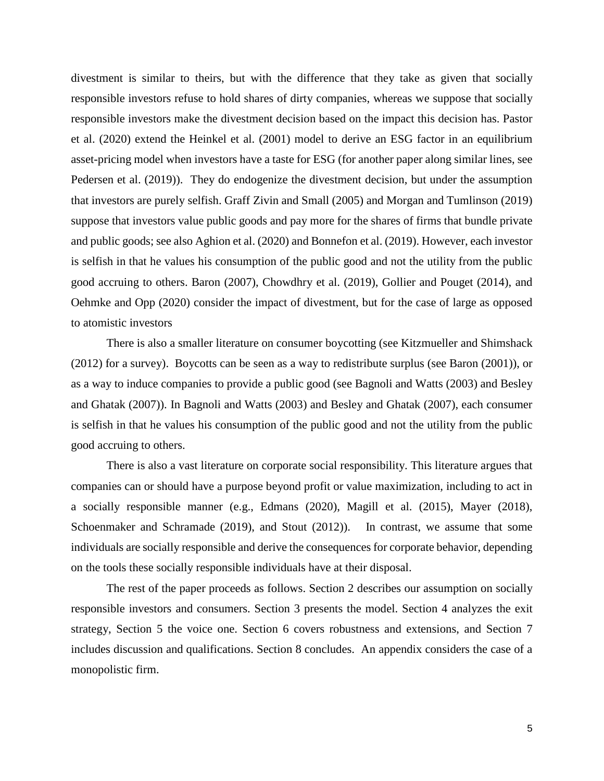divestment is similar to theirs, but with the difference that they take as given that socially responsible investors refuse to hold shares of dirty companies, whereas we suppose that socially responsible investors make the divestment decision based on the impact this decision has. Pastor et al. (2020) extend the Heinkel et al. (2001) model to derive an ESG factor in an equilibrium asset-pricing model when investors have a taste for ESG (for another paper along similar lines, see Pedersen et al. (2019)). They do endogenize the divestment decision, but under the assumption that investors are purely selfish. Graff Zivin and Small (2005) and Morgan and Tumlinson (2019) suppose that investors value public goods and pay more for the shares of firms that bundle private and public goods; see also Aghion et al. (2020) and Bonnefon et al. (2019). However, each investor is selfish in that he values his consumption of the public good and not the utility from the public good accruing to others. Baron (2007), Chowdhry et al. (2019), Gollier and Pouget (2014), and Oehmke and Opp (2020) consider the impact of divestment, but for the case of large as opposed to atomistic investors

There is also a smaller literature on consumer boycotting (see Kitzmueller and Shimshack (2012) for a survey). Boycotts can be seen as a way to redistribute surplus (see Baron (2001)), or as a way to induce companies to provide a public good (see Bagnoli and Watts (2003) and Besley and Ghatak (2007)). In Bagnoli and Watts (2003) and Besley and Ghatak (2007), each consumer is selfish in that he values his consumption of the public good and not the utility from the public good accruing to others.

There is also a vast literature on corporate social responsibility. This literature argues that companies can or should have a purpose beyond profit or value maximization*,* including to act in a socially responsible manner (e.g., Edmans (2020), Magill et al. (2015), Mayer (2018), Schoenmaker and Schramade (2019), and Stout (2012)). In contrast, we assume that some individuals are socially responsible and derive the consequences for corporate behavior, depending on the tools these socially responsible individuals have at their disposal.

The rest of the paper proceeds as follows. Section 2 describes our assumption on socially responsible investors and consumers. Section 3 presents the model. Section 4 analyzes the exit strategy, Section 5 the voice one. Section 6 covers robustness and extensions, and Section 7 includes discussion and qualifications. Section 8 concludes. An appendix considers the case of a monopolistic firm.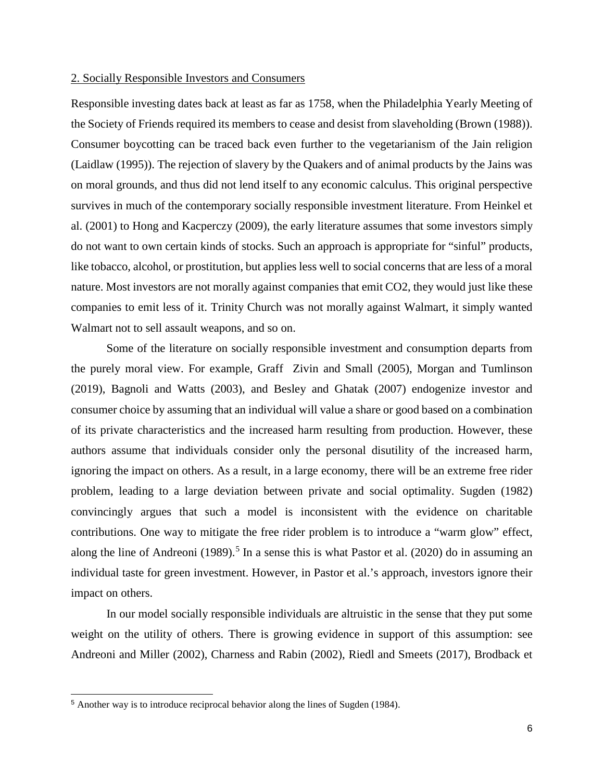## 2. Socially Responsible Investors and Consumers

Responsible investing dates back at least as far as 1758, when the Philadelphia Yearly Meeting of the Society of Friends required its members to cease and desist from slaveholding (Brown (1988)). Consumer boycotting can be traced back even further to the vegetarianism of the Jain religion (Laidlaw (1995)). The rejection of slavery by the Quakers and of animal products by the Jains was on moral grounds, and thus did not lend itself to any economic calculus. This original perspective survives in much of the contemporary socially responsible investment literature. From Heinkel et al. (2001) to Hong and Kacperczy (2009), the early literature assumes that some investors simply do not want to own certain kinds of stocks. Such an approach is appropriate for "sinful" products, like tobacco, alcohol, or prostitution, but applies less well to social concerns that are less of a moral nature. Most investors are not morally against companies that emit CO2, they would just like these companies to emit less of it. Trinity Church was not morally against Walmart, it simply wanted Walmart not to sell assault weapons, and so on.

Some of the literature on socially responsible investment and consumption departs from the purely moral view. For example, Graff Zivin and Small (2005), Morgan and Tumlinson (2019), Bagnoli and Watts (2003), and Besley and Ghatak (2007) endogenize investor and consumer choice by assuming that an individual will value a share or good based on a combination of its private characteristics and the increased harm resulting from production. However, these authors assume that individuals consider only the personal disutility of the increased harm, ignoring the impact on others. As a result, in a large economy, there will be an extreme free rider problem, leading to a large deviation between private and social optimality. Sugden (1982) convincingly argues that such a model is inconsistent with the evidence on charitable contributions. One way to mitigate the free rider problem is to introduce a "warm glow" effect, along the line of Andreoni (1989). [5](#page-6-0) In a sense this is what Pastor et al. (2020) do in assuming an individual taste for green investment. However, in Pastor et al.'s approach, investors ignore their impact on others.

In our model socially responsible individuals are altruistic in the sense that they put some weight on the utility of others. There is growing evidence in support of this assumption: see Andreoni and Miller (2002), Charness and Rabin (2002), Riedl and Smeets (2017), Brodback et

j

<span id="page-6-0"></span><sup>5</sup> Another way is to introduce reciprocal behavior along the lines of Sugden (1984).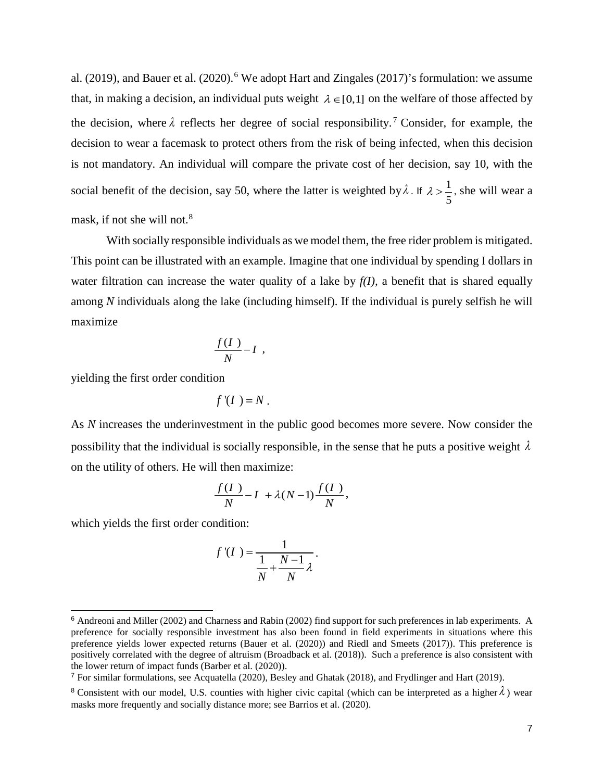al. (2019), and Bauer et al. (2020).<sup>[6](#page-7-0)</sup> We adopt Hart and Zingales (2017)'s formulation: we assume that, in making a decision, an individual puts weight  $\lambda \in [0,1]$  on the welfare of those affected by the decision, where  $\lambda$  reflects her degree of social responsibility.<sup>[7](#page-7-1)</sup> Consider, for example, the decision to wear a facemask to protect others from the risk of being infected, when this decision is not mandatory. An individual will compare the private cost of her decision, say 10, with the social benefit of the decision, say 50, where the latter is weighted by  $\lambda$ . If  $\lambda > \frac{1}{2}$ 5  $\lambda > \frac{1}{2}$ , she will wear a mask, if not she will not.<sup>[8](#page-7-2)</sup>

With socially responsible individuals as we model them, the free rider problem is mitigated. This point can be illustrated with an example. Imagine that one individual by spending I dollars in water filtration can increase the water quality of a lake by  $f(I)$ , a benefit that is shared equally among *N* individuals along the lake (including himself). If the individual is purely selfish he will maximize

$$
\frac{f(I)}{N}-I,
$$

yielding the first order condition

$$
f'(I) = N.
$$

As *N* increases the underinvestment in the public good becomes more severe. Now consider the possibility that the individual is socially responsible, in the sense that he puts a positive weight  $\lambda$ on the utility of others. He will then maximize:

$$
\frac{f(I)}{N} - I + \lambda(N-1)\frac{f(I)}{N},
$$

which yields the first order condition:

j

$$
f'(I) = \frac{1}{\frac{1}{N} + \frac{N-1}{N}\lambda}.
$$

<span id="page-7-0"></span><sup>6</sup> Andreoni and Miller (2002) and Charness and Rabin (2002) find support for such preferences in lab experiments. A preference for socially responsible investment has also been found in field experiments in situations where this preference yields lower expected returns (Bauer et al. (2020)) and Riedl and Smeets (2017)). This preference is positively correlated with the degree of altruism (Broadback et al. (2018)). Such a preference is also consistent with the lower return of impact funds (Barber et al. (2020)).

<span id="page-7-1"></span><sup>7</sup> For similar formulations, see Acquatella (2020), Besley and Ghatak (2018), and Frydlinger and Hart (2019).

<span id="page-7-2"></span><sup>&</sup>lt;sup>8</sup> Consistent with our model, U.S. counties with higher civic capital (which can be interpreted as a higher  $\lambda$ ) wear masks more frequently and socially distance more; see Barrios et al. (2020).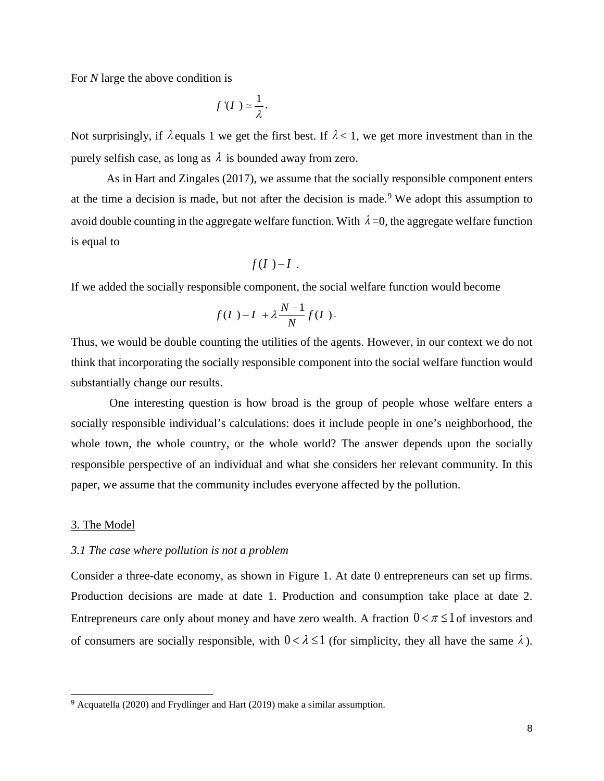For *N* large the above condition is

$$
f'(I)=\frac{1}{\lambda}.
$$

Not surprisingly, if  $\lambda$  equals 1 we get the first best. If  $\lambda < 1$ , we get more investment than in the purely selfish case, as long as  $\lambda$  is bounded away from zero.

 As in Hart and Zingales (2017), we assume that the socially responsible component enters at the time a decision is made, but not after the decision is made.<sup>[9](#page-8-0)</sup> We adopt this assumption to avoid double counting in the aggregate welfare function. With  $\lambda = 0$ , the aggregate welfare function is equal to

$$
f(I) - I
$$
.

If we added the socially responsible component, the social welfare function would become

$$
f(I) - I + \lambda \frac{N-1}{N} f(I).
$$

Thus, we would be double counting the utilities of the agents. However, in our context we do not think that incorporating the socially responsible component into the social welfare function would substantially change our results.

 One interesting question is how broad is the group of people whose welfare enters a socially responsible individual's calculations: does it include people in one's neighborhood, the whole town, the whole country, or the whole world? The answer depends upon the socially responsible perspective of an individual and what she considers her relevant community. In this paper, we assume that the community includes everyone affected by the pollution.

#### 3. The Model

j

## *3.1 The case where pollution is not a problem*

Consider a three-date economy, as shown in Figure 1. At date 0 entrepreneurs can set up firms. Production decisions are made at date 1. Production and consumption take place at date 2. Entrepreneurs care only about money and have zero wealth. A fraction  $0 < \pi \leq 1$  of investors and of consumers are socially responsible, with  $0 < \lambda \le 1$  (for simplicity, they all have the same  $\lambda$ ).

<span id="page-8-0"></span><sup>9</sup> Acquatella (2020) and Frydlinger and Hart (2019) make a similar assumption.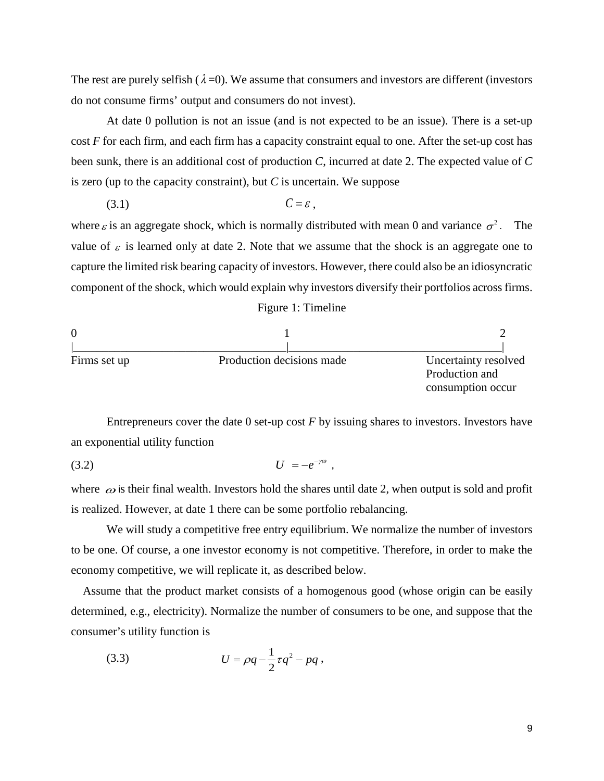The rest are purely selfish ( $\lambda$ =0). We assume that consumers and investors are different (investors do not consume firms' output and consumers do not invest).

At date 0 pollution is not an issue (and is not expected to be an issue). There is a set-up cost *F* for each firm, and each firm has a capacity constraint equal to one. After the set-up cost has been sunk, there is an additional cost of production *C*, incurred at date 2. The expected value of *C*  is zero (up to the capacity constraint), but *C* is uncertain. We suppose

$$
(3.1) \tC = \varepsilon,
$$

where  $\varepsilon$  is an aggregate shock, which is normally distributed with mean 0 and variance  $\sigma^2$ . The value of  $\varepsilon$  is learned only at date 2. Note that we assume that the shock is an aggregate one to capture the limited risk bearing capacity of investors. However, there could also be an idiosyncratic component of the shock, which would explain why investors diversify their portfolios across firms. Figure 1: Timeline



Entrepreneurs cover the date 0 set-up cost *F* by issuing shares to investors. Investors have an exponential utility function

$$
(3.2) \t\t\t U = -e^{-\gamma\omega} ,
$$

where  $\omega$  is their final wealth. Investors hold the shares until date 2, when output is sold and profit is realized. However, at date 1 there can be some portfolio rebalancing.

We will study a competitive free entry equilibrium. We normalize the number of investors to be one. Of course, a one investor economy is not competitive. Therefore, in order to make the economy competitive, we will replicate it, as described below.

 Assume that the product market consists of a homogenous good (whose origin can be easily determined, e.g., electricity). Normalize the number of consumers to be one, and suppose that the consumer's utility function is

(3.3) 
$$
U = \rho q - \frac{1}{2} \tau q^2 - p q,
$$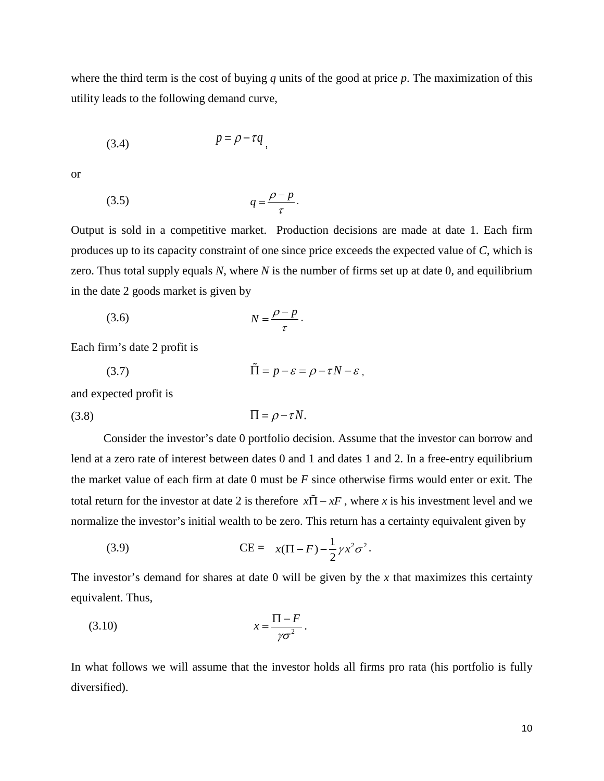where the third term is the cost of buying *q* units of the good at price *p*. The maximization of this utility leads to the following demand curve,

$$
(3.4) \t\t\t p = \rho - \tau q
$$

or

$$
(3.5) \t\t q = \frac{\rho - p}{\tau}.
$$

Output is sold in a competitive market. Production decisions are made at date 1. Each firm produces up to its capacity constraint of one since price exceeds the expected value of *C*, which is zero. Thus total supply equals *N*, where *N* is the number of firms set up at date 0, and equilibrium in the date 2 goods market is given by

$$
(3.6) \t\t N = \frac{\rho - p}{\tau}.
$$

Each firm's date 2 profit is

$$
(3.7) \quad \tilde{\Pi} = p - \varepsilon = \rho - \tau N - \varepsilon \,,
$$

and expected profit is

$$
(3.8)\qquad \qquad \Pi = \rho - \tau N.
$$

 Consider the investor's date 0 portfolio decision. Assume that the investor can borrow and lend at a zero rate of interest between dates 0 and 1 and dates 1 and 2. In a free-entry equilibrium the market value of each firm at date 0 must be *F* since otherwise firms would enter or exit*.* The total return for the investor at date 2 is therefore  $x\tilde{\Pi} - xF$ , where *x* is his investment level and we normalize the investor's initial wealth to be zero. This return has a certainty equivalent given by

(3.9) 
$$
CE = x(\Pi - F) - \frac{1}{2} \gamma x^2 \sigma^2.
$$

The investor's demand for shares at date 0 will be given by the *x* that maximizes this certainty equivalent. Thus,

$$
(3.10) \t\t x = \frac{\Pi - F}{\gamma \sigma^2}.
$$

In what follows we will assume that the investor holds all firms pro rata (his portfolio is fully diversified).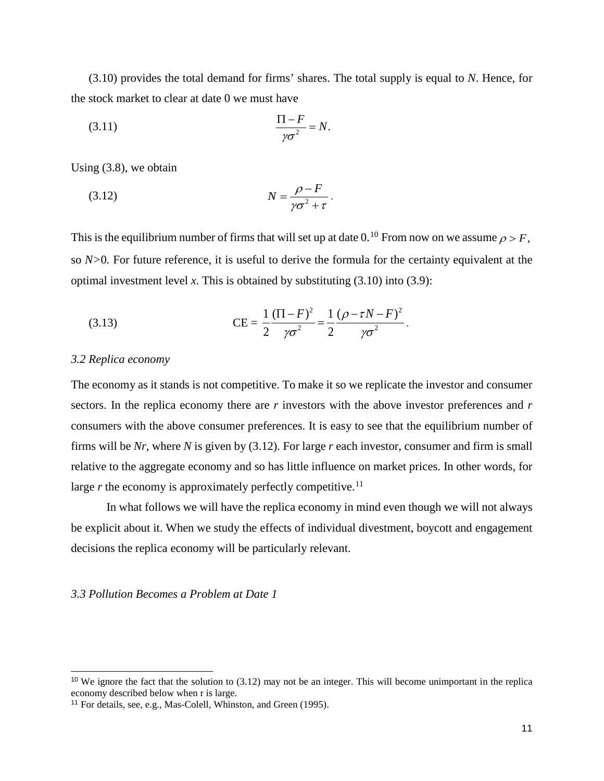(3.10) provides the total demand for firms' shares. The total supply is equal to *N*. Hence, for the stock market to clear at date 0 we must have

$$
\frac{\Pi - F}{\gamma \sigma^2} = N.
$$

Using (3.8), we obtain

$$
(3.12)\t\t\t N = \frac{\rho - F}{\gamma \sigma^2 + \tau}.
$$

This is the equilibrium number of firms that will set up at date  $0.^{10}$  $0.^{10}$  $0.^{10}$  From now on we assume  $\rho > F$ , so *N>*0*.* For future reference, it is useful to derive the formula for the certainty equivalent at the optimal investment level *x*. This is obtained by substituting (3.10) into (3.9):

(3.13) 
$$
CE = \frac{1}{2} \frac{(\Pi - F)^2}{\gamma \sigma^2} = \frac{1}{2} \frac{(\rho - \tau N - F)^2}{\gamma \sigma^2}.
$$

#### *3.2 Replica economy*

-

The economy as it stands is not competitive. To make it so we replicate the investor and consumer sectors. In the replica economy there are *r* investors with the above investor preferences and *r* consumers with the above consumer preferences. It is easy to see that the equilibrium number of firms will be *Nr*, where *N* is given by (3.12). For large *r* each investor, consumer and firm is small relative to the aggregate economy and so has little influence on market prices. In other words, for large *r* the economy is approximately perfectly competitive.<sup>11</sup>

In what follows we will have the replica economy in mind even though we will not always be explicit about it. When we study the effects of individual divestment, boycott and engagement decisions the replica economy will be particularly relevant.

#### *3.3 Pollution Becomes a Problem at Date 1*

<span id="page-11-0"></span><sup>10</sup> We ignore the fact that the solution to (3.12) may not be an integer. This will become unimportant in the replica economy described below when r is large.

<span id="page-11-1"></span><sup>11</sup> For details, see, e.g., Mas-Colell, Whinston, and Green (1995).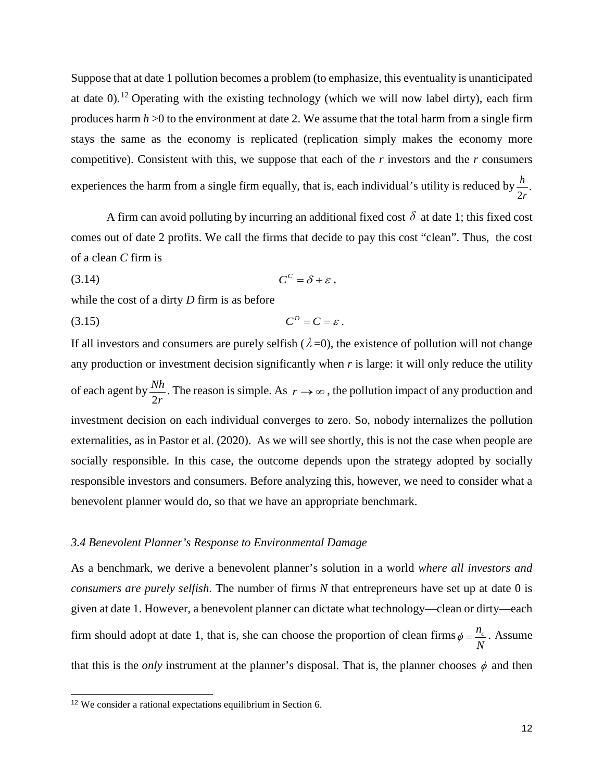Suppose that at date 1 pollution becomes a problem (to emphasize, this eventuality is unanticipated at date 0).<sup>[12](#page-12-0)</sup> Operating with the existing technology (which we will now label dirty), each firm produces harm *h* >0 to the environment at date 2. We assume that the total harm from a single firm stays the same as the economy is replicated (replication simply makes the economy more competitive). Consistent with this, we suppose that each of the *r* investors and the *r* consumers experiences the harm from a single firm equally, that is, each individual's utility is reduced by  $\frac{h}{2r}$ . *r*

A firm can avoid polluting by incurring an additional fixed cost  $\delta$  at date 1; this fixed cost comes out of date 2 profits. We call the firms that decide to pay this cost "clean". Thus, the cost of a clean *C* firm is

$$
(3.14) \tCC = \delta + \varepsilon ,
$$

while the cost of a dirty *D* firm is as before

$$
(3.15) \t CD = C = \varepsilon.
$$

If all investors and consumers are purely selfish ( $\lambda = 0$ ), the existence of pollution will not change any production or investment decision significantly when *r* is large: it will only reduce the utility of each agent by  $\frac{Nh}{2r}$ *r* . The reason is simple. As  $r \rightarrow \infty$ , the pollution impact of any production and investment decision on each individual converges to zero. So, nobody internalizes the pollution externalities, as in Pastor et al. (2020). As we will see shortly, this is not the case when people are socially responsible. In this case, the outcome depends upon the strategy adopted by socially responsible investors and consumers. Before analyzing this, however, we need to consider what a benevolent planner would do, so that we have an appropriate benchmark.

## *3.4 Benevolent Planner's Response to Environmental Damage*

As a benchmark, we derive a benevolent planner's solution in a world *where all investors and consumers are purely selfish*. The number of firms *N* that entrepreneurs have set up at date 0 is given at date 1. However, a benevolent planner can dictate what technology—clean or dirty—each firm should adopt at date 1, that is, she can choose the proportion of clean firms  $\phi = \frac{n_c}{N}$ . Assume that this is the *only* instrument at the planner's disposal. That is, the planner chooses  $\phi$  and then

j

<span id="page-12-0"></span><sup>12</sup> We consider a rational expectations equilibrium in Section 6.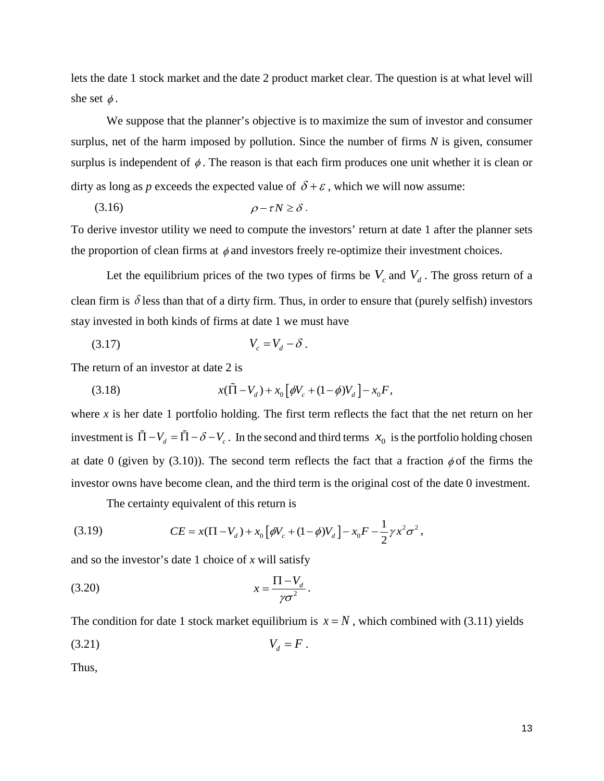lets the date 1 stock market and the date 2 product market clear. The question is at what level will she set  $\phi$ .

We suppose that the planner's objective is to maximize the sum of investor and consumer surplus, net of the harm imposed by pollution. Since the number of firms *N* is given, consumer surplus is independent of  $\phi$ . The reason is that each firm produces one unit whether it is clean or dirty as long as *p* exceeds the expected value of  $\delta + \varepsilon$ , which we will now assume:

$$
(3.16) \t\t \t\t \rho-\tau N \geq \delta.
$$

To derive investor utility we need to compute the investors' return at date 1 after the planner sets the proportion of clean firms at  $\phi$  and investors freely re-optimize their investment choices.

Let the equilibrium prices of the two types of firms be  $V_c$  and  $V_d$ . The gross return of a clean firm is  $\delta$  less than that of a dirty firm. Thus, in order to ensure that (purely selfish) investors stay invested in both kinds of firms at date 1 we must have

$$
(3.17) \t\t V_c = V_d - \delta.
$$

The return of an investor at date 2 is

(3.18) 
$$
x(\tilde{\Pi} - V_d) + x_0 \left[ \phi V_c + (1 - \phi) V_d \right] - x_0 F,
$$

where *x* is her date 1 portfolio holding. The first term reflects the fact that the net return on her investment is  $\tilde{\Pi} - V_d = \tilde{\Pi} - \delta - V_c$ . In the second and third terms  $x_0$  is the portfolio holding chosen at date 0 (given by (3.10)). The second term reflects the fact that a fraction  $\phi$  of the firms the investor owns have become clean, and the third term is the original cost of the date 0 investment.

The certainty equivalent of this return is

(3.19) 
$$
CE = x(\Pi - V_d) + x_0 \left[ \phi V_c + (1 - \phi) V_d \right] - x_0 F - \frac{1}{2} \gamma x^2 \sigma^2,
$$

and so the investor's date 1 choice of *x* will satisfy

$$
(3.20) \t\t\t x = \frac{\Pi - V_d}{\gamma \sigma^2}.
$$

The condition for date 1 stock market equilibrium is  $x = N$ , which combined with (3.11) yields

$$
(3.21) \t\t V_d = F.
$$

Thus,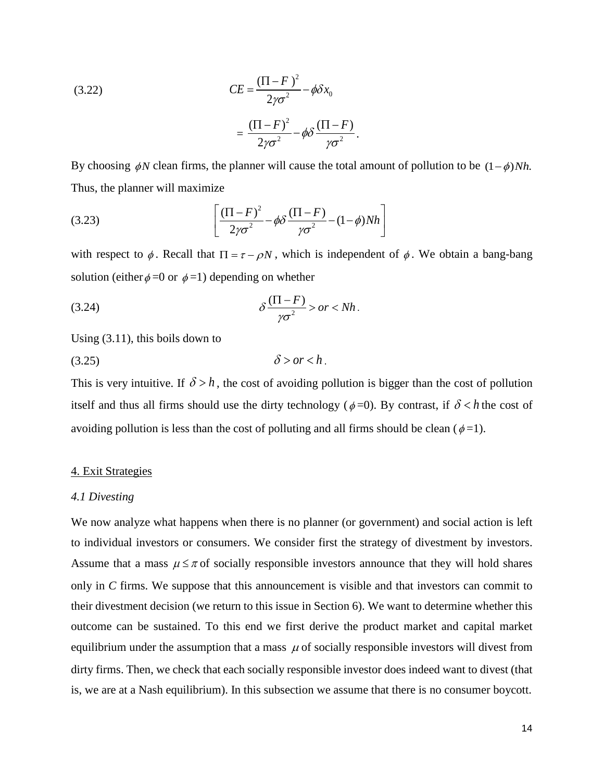(3.22)  
\n
$$
CE = \frac{(\Pi - F)^2}{2\gamma\sigma^2} - \phi \delta x_0
$$
\n
$$
= \frac{(\Pi - F)^2}{2\gamma\sigma^2} - \phi \delta \frac{(\Pi - F)}{\gamma\sigma^2}.
$$

By choosing  $\phi N$  clean firms, the planner will cause the total amount of pollution to be  $(1 - \phi)Nh$ . Thus, the planner will maximize

(3.23) 
$$
\left[\frac{(\Pi - F)^2}{2\gamma\sigma^2} - \phi\delta \frac{(\Pi - F)}{\gamma\sigma^2} - (1 - \phi)Nh\right]
$$

with respect to  $\phi$ . Recall that  $\Pi = \tau - \rho N$ , which is independent of  $\phi$ . We obtain a bang-bang solution (either  $\phi = 0$  or  $\phi = 1$ ) depending on whether

$$
\delta \frac{(\Pi - F)}{\gamma \sigma^2} > or < Nh.
$$

Using (3.11), this boils down to

$$
(3.25) \t\t\t \delta > or < h.
$$

This is very intuitive. If  $\delta > h$ , the cost of avoiding pollution is bigger than the cost of pollution itself and thus all firms should use the dirty technology ( $\phi = 0$ ). By contrast, if  $\delta < h$  the cost of avoiding pollution is less than the cost of polluting and all firms should be clean ( $\phi$ =1).

#### 4. Exit Strategies

#### *4.1 Divesting*

We now analyze what happens when there is no planner (or government) and social action is left to individual investors or consumers. We consider first the strategy of divestment by investors. Assume that a mass  $\mu \leq \pi$  of socially responsible investors announce that they will hold shares only in *C* firms. We suppose that this announcement is visible and that investors can commit to their divestment decision (we return to this issue in Section 6). We want to determine whether this outcome can be sustained. To this end we first derive the product market and capital market equilibrium under the assumption that a mass  $\mu$  of socially responsible investors will divest from dirty firms. Then, we check that each socially responsible investor does indeed want to divest (that is, we are at a Nash equilibrium). In this subsection we assume that there is no consumer boycott.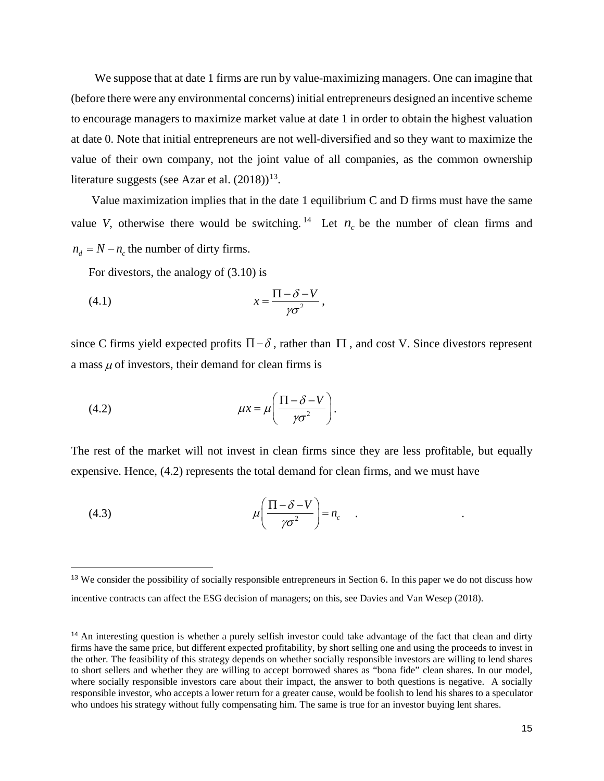We suppose that at date 1 firms are run by value-maximizing managers. One can imagine that (before there were any environmental concerns) initial entrepreneurs designed an incentive scheme to encourage managers to maximize market value at date 1 in order to obtain the highest valuation at date 0. Note that initial entrepreneurs are not well-diversified and so they want to maximize the value of their own company, not the joint value of all companies, as the common ownership literature suggests (see Azar et al.  $(2018)^{13}$ .

Value maximization implies that in the date 1 equilibrium C and D firms must have the same value *V*, otherwise there would be switching. <sup>[14](#page-15-1)</sup> Let  $n_c$  be the number of clean firms and  $n_d = N - n_c$  the number of dirty firms.

For divestors, the analogy of (3.10) is

$$
(4.1) \t\t x = \frac{\Pi - \delta - V}{\gamma \sigma^2},
$$

since C firms yield expected profits  $\Pi$  –  $\delta$ , rather than  $\Pi$ , and cost V. Since divestors represent a mass  $\mu$  of investors, their demand for clean firms is

(4.2) 
$$
\mu x = \mu \left( \frac{\Pi - \delta - V}{\gamma \sigma^2} \right).
$$

The rest of the market will not invest in clean firms since they are less profitable, but equally expensive. Hence, (4.2) represents the total demand for clean firms, and we must have

(4.3) 
$$
\mu \left( \frac{\Pi - \delta - V}{\gamma \sigma^2} \right) = n_c \quad .
$$

-

<span id="page-15-0"></span><sup>&</sup>lt;sup>13</sup> We consider the possibility of socially responsible entrepreneurs in Section 6. In this paper we do not discuss how incentive contracts can affect the ESG decision of managers; on this, see Davies and Van Wesep (2018).

<span id="page-15-1"></span><sup>&</sup>lt;sup>14</sup> An interesting question is whether a purely selfish investor could take advantage of the fact that clean and dirty firms have the same price, but different expected profitability, by short selling one and using the proceeds to invest in the other. The feasibility of this strategy depends on whether socially responsible investors are willing to lend shares to short sellers and whether they are willing to accept borrowed shares as "bona fide" clean shares. In our model, where socially responsible investors care about their impact, the answer to both questions is negative. A socially responsible investor, who accepts a lower return for a greater cause, would be foolish to lend his shares to a speculator who undoes his strategy without fully compensating him. The same is true for an investor buying lent shares.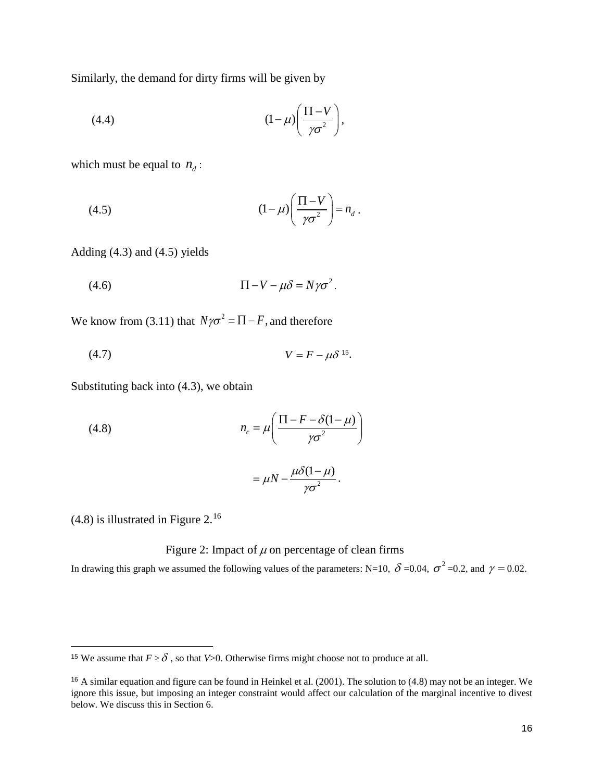Similarly, the demand for dirty firms will be given by

$$
(4.4) \qquad \qquad (1-\mu)\bigg(\frac{\Pi-V}{\gamma\sigma^2}\bigg),
$$

which must be equal to  $n_d$ :

(4.5) 
$$
(1 - \mu) \left( \frac{\Pi - V}{\gamma \sigma^2} \right) = n_d.
$$

Adding (4.3) and (4.5) yields

$$
(4.6) \t \Pi - V - \mu \delta = N \gamma \sigma^2.
$$

We know from (3.11) that  $N\gamma\sigma^2 = \Pi - F$ , and therefore

$$
(4.7) \t\t\t V = F - \mu \delta^{15}.
$$

Substituting back into (4.3), we obtain

(4.8) 
$$
n_c = \mu \left( \frac{\Pi - F - \delta(1 - \mu)}{\gamma \sigma^2} \right)
$$

$$
= \mu N - \frac{\mu \delta(1 - \mu)}{\gamma \sigma^2}.
$$

(4.8) is illustrated in Figure 2.[16](#page-16-1)

j

# Figure 2: Impact of  $\mu$  on percentage of clean firms

In drawing this graph we assumed the following values of the parameters: N=10,  $\delta$  =0.04,  $\sigma^2$  =0.2, and  $\gamma$  = 0.02.

<span id="page-16-0"></span><sup>&</sup>lt;sup>15</sup> We assume that  $F > \delta$ , so that *V*>0. Otherwise firms might choose not to produce at all.

<span id="page-16-1"></span><sup>16</sup> A similar equation and figure can be found in Heinkel et al. (2001). The solution to (4.8) may not be an integer. We ignore this issue, but imposing an integer constraint would affect our calculation of the marginal incentive to divest below. We discuss this in Section 6.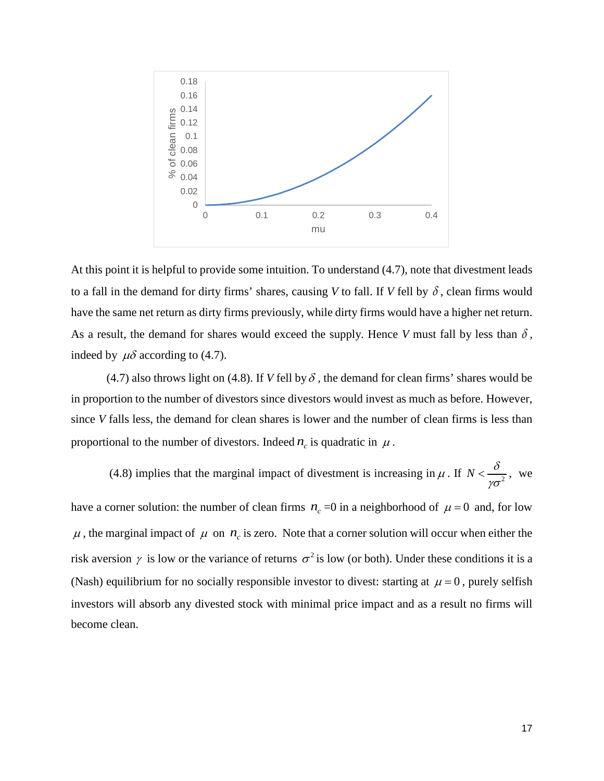

At this point it is helpful to provide some intuition. To understand (4.7), note that divestment leads to a fall in the demand for dirty firms' shares, causing *V* to fall. If *V* fell by  $\delta$ , clean firms would have the same net return as dirty firms previously, while dirty firms would have a higher net return. As a result, the demand for shares would exceed the supply. Hence *V* must fall by less than  $\delta$ , indeed by  $\mu\delta$  according to (4.7).

(4.7) also throws light on (4.8). If *V* fell by  $\delta$ , the demand for clean firms' shares would be in proportion to the number of divestors since divestors would invest as much as before. However, since *V* falls less, the demand for clean shares is lower and the number of clean firms is less than proportional to the number of divestors. Indeed  $n_c$  is quadratic in  $\mu$ .

(4.8) implies that the marginal impact of divestment is increasing in  $\mu$ . If  $N < \frac{\delta}{\gamma \sigma^2}$  $\lt \frac{0}{\sqrt{2}}$ , we

have a corner solution: the number of clean firms  $n_c = 0$  in a neighborhood of  $\mu = 0$  and, for low  $\mu$ , the marginal impact of  $\mu$  on  $n_c$  is zero. Note that a corner solution will occur when either the risk aversion  $\gamma$  is low or the variance of returns  $\sigma^2$  is low (or both). Under these conditions it is a (Nash) equilibrium for no socially responsible investor to divest: starting at  $\mu = 0$ , purely selfish investors will absorb any divested stock with minimal price impact and as a result no firms will become clean.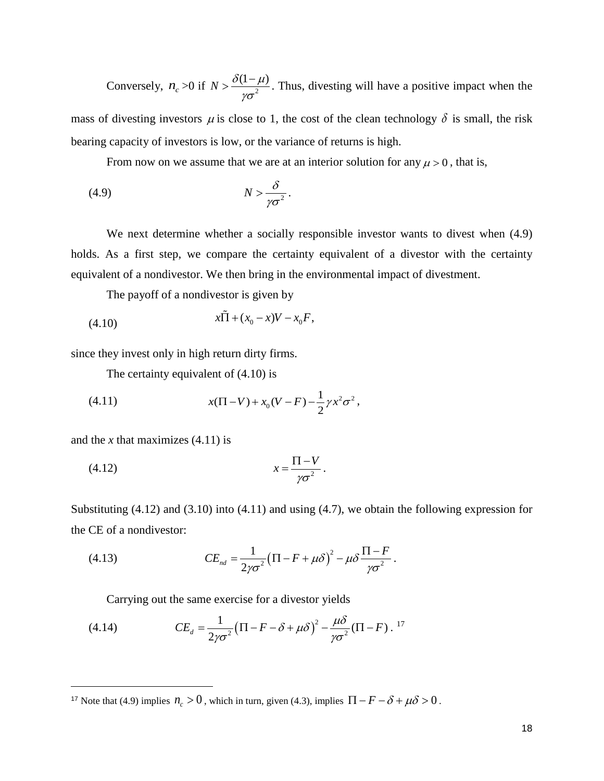Conversely,  $n_c > 0$  if  $N > \frac{\delta(1-\mu)}{n\sigma^2}$ γσ  $> \frac{\delta(1-\mu)}{2}$ . Thus, divesting will have a positive impact when the

mass of divesting investors  $\mu$  is close to 1, the cost of the clean technology  $\delta$  is small, the risk bearing capacity of investors is low, or the variance of returns is high.

From now on we assume that we are at an interior solution for any  $\mu > 0$ , that is,

$$
(4.9) \t\t\t N > \frac{\delta}{\gamma \sigma^2}.
$$

We next determine whether a socially responsible investor wants to divest when (4.9) holds. As a first step, we compare the certainty equivalent of a divestor with the certainty equivalent of a nondivestor. We then bring in the environmental impact of divestment.

The payoff of a nondivestor is given by

(4.10) 
$$
x\tilde{\Pi} + (x_0 - x)V - x_0F,
$$

since they invest only in high return dirty firms.

The certainty equivalent of (4.10) is

(4.11) 
$$
x(\Pi - V) + x_0(V - F) - \frac{1}{2}\gamma x^2 \sigma^2,
$$

and the *x* that maximizes (4.11) is

-

$$
(4.12) \t\t x = \frac{\Pi - V}{\gamma \sigma^2}.
$$

Substituting (4.12) and (3.10) into (4.11) and using (4.7), we obtain the following expression for the CE of a nondivestor:

(4.13) 
$$
CE_{nd} = \frac{1}{2\gamma\sigma^2} \left(\Pi - F + \mu \delta\right)^2 - \mu \delta \frac{\Pi - F}{\gamma \sigma^2}.
$$

Carrying out the same exercise for a divestor yields

(4.14) 
$$
CE_d = \frac{1}{2\gamma\sigma^2} \left(\Pi - F - \delta + \mu \delta\right)^2 - \frac{\mu \delta}{\gamma \sigma^2} \left(\Pi - F\right).^{17}
$$

<span id="page-18-0"></span><sup>&</sup>lt;sup>17</sup> Note that (4.9) implies  $n_c > 0$ , which in turn, given (4.3), implies  $\Pi - F - \delta + \mu \delta > 0$ .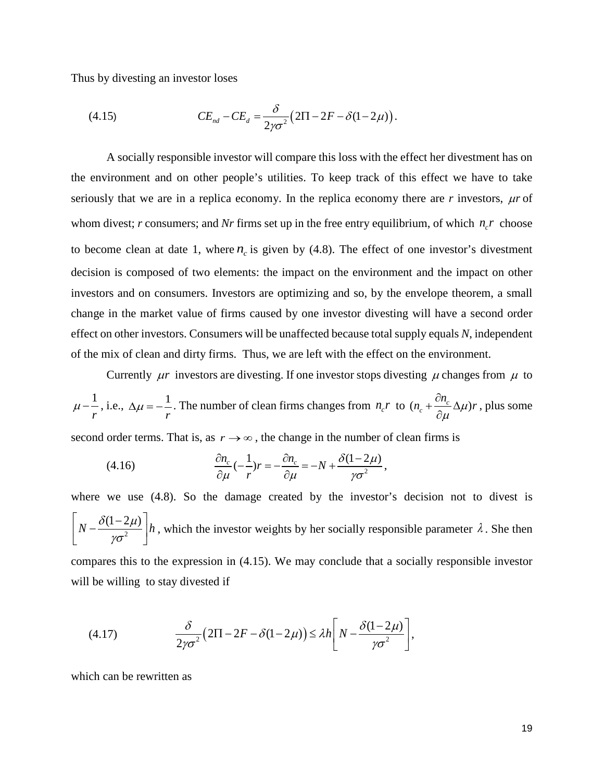Thus by divesting an investor loses

(4.15) 
$$
CE_{nd} - CE_{d} = \frac{\delta}{2\gamma\sigma^{2}}(2\Pi - 2F - \delta(1 - 2\mu)).
$$

A socially responsible investor will compare this loss with the effect her divestment has on the environment and on other people's utilities. To keep track of this effect we have to take seriously that we are in a replica economy. In the replica economy there are  $r$  investors,  $\mu r$  of whom divest; *r* consumers; and *Nr* firms set up in the free entry equilibrium, of which  $n<sub>r</sub>$  choose to become clean at date 1, where  $n_c$  is given by (4.8). The effect of one investor's divestment decision is composed of two elements: the impact on the environment and the impact on other investors and on consumers. Investors are optimizing and so, by the envelope theorem, a small change in the market value of firms caused by one investor divesting will have a second order effect on other investors. Consumers will be unaffected because total supply equals *N*, independent of the mix of clean and dirty firms. Thus, we are left with the effect on the environment.

Currently  $\mu r$  investors are divesting. If one investor stops divesting  $\mu$  changes from  $\mu$  to

1 *r*  $\mu - \frac{1}{2}$ , i.e.,  $\Delta \mu = -\frac{1}{2}$  $\Delta \mu = -\frac{1}{r}$ . The number of clean firms changes from  $n_c r$  to  $(n_c + \frac{\epsilon n_c}{\partial \mu} \Delta \mu)$  $n_c + \frac{\partial n_c}{\partial \mu} \Delta \mu$ )*r*  $\mu$  $+\frac{\partial n_c}{\partial \Delta}$  $\frac{\partial n_c}{\partial \mu} \Delta \mu$ )*r*, plus some

second order terms. That is, as  $r \rightarrow \infty$ , the change in the number of clean firms is

(4.16) 
$$
\frac{\partial n_c}{\partial \mu}(-\frac{1}{r})r = -\frac{\partial n_c}{\partial \mu} = -N + \frac{\delta(1 - 2\mu)}{\gamma \sigma^2},
$$

where we use (4.8). So the damage created by the investor's decision not to divest is  $N - \frac{\delta(1-2\mu)}{1-\mu^2} \left| h \right|$  $\left[ N - \frac{\delta(1-2\mu)}{\gamma \sigma^2} \right] h$ , which the investor weights by her socially responsible parameter  $\lambda$ . She then compares this to the expression in (4.15). We may conclude that a socially responsible investor will be willing to stay divested if

(4.17) 
$$
\frac{\delta}{2\gamma\sigma^2}(2\Pi - 2F - \delta(1 - 2\mu)) \le \lambda h \left[ N - \frac{\delta(1 - 2\mu)}{\gamma\sigma^2} \right],
$$

which can be rewritten as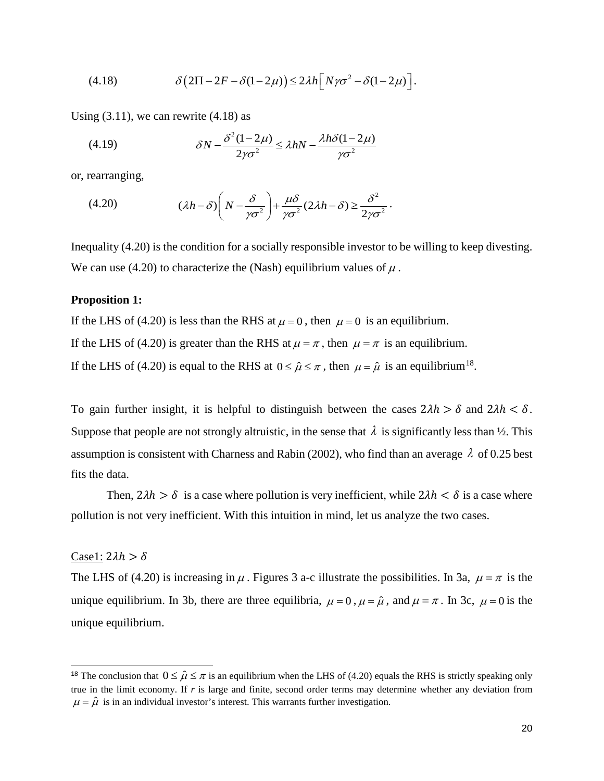(4.18) 
$$
\delta \big(2\Pi - 2F - \delta(1 - 2\mu)\big) \leq 2\lambda h \big[N\gamma\sigma^2 - \delta(1 - 2\mu)\big].
$$

Using  $(3.11)$ , we can rewrite  $(4.18)$  as

(4.19) 
$$
\delta N - \frac{\delta^2 (1 - 2\mu)}{2\gamma \sigma^2} \le \lambda h N - \frac{\lambda h \delta (1 - 2\mu)}{\gamma \sigma^2}
$$

or, rearranging,

(4.20) 
$$
(\lambda h - \delta) \left( N - \frac{\delta}{\gamma \sigma^2} \right) + \frac{\mu \delta}{\gamma \sigma^2} (2\lambda h - \delta) \ge \frac{\delta^2}{2\gamma \sigma^2}.
$$

Inequality (4.20) is the condition for a socially responsible investor to be willing to keep divesting. We can use (4.20) to characterize the (Nash) equilibrium values of  $\mu$ .

# **Proposition 1:**

If the LHS of (4.20) is less than the RHS at  $\mu = 0$ , then  $\mu = 0$  is an equilibrium. If the LHS of (4.20) is greater than the RHS at  $\mu = \pi$ , then  $\mu = \pi$  is an equilibrium. If the LHS of (4.20) is equal to the RHS at  $0 \le \hat{\mu} \le \pi$ , then  $\mu = \hat{\mu}$  is an equilibrium<sup>[18](#page-20-0)</sup>.

To gain further insight, it is helpful to distinguish between the cases  $2\lambda h > \delta$  and  $2\lambda h < \delta$ . Suppose that people are not strongly altruistic, in the sense that  $\lambda$  is significantly less than  $\frac{1}{2}$ . This assumption is consistent with Charness and Rabin (2002), who find than an average  $\lambda$  of 0.25 best fits the data.

Then,  $2\lambda h > \delta$  is a case where pollution is very inefficient, while  $2\lambda h < \delta$  is a case where pollution is not very inefficient. With this intuition in mind, let us analyze the two cases.

## Case1:  $2\lambda h > \delta$

j

The LHS of (4.20) is increasing in  $\mu$ . Figures 3 a-c illustrate the possibilities. In 3a,  $\mu = \pi$  is the unique equilibrium. In 3b, there are three equilibria,  $\mu = 0$ ,  $\mu = \hat{\mu}$ , and  $\mu = \pi$ . In 3c,  $\mu = 0$  is the unique equilibrium.

<span id="page-20-0"></span><sup>&</sup>lt;sup>18</sup> The conclusion that  $0 \le \hat{\mu} \le \pi$  is an equilibrium when the LHS of (4.20) equals the RHS is strictly speaking only true in the limit economy. If *r* is large and finite, second order terms may determine whether any deviation from  $\mu = \hat{\mu}$  is in an individual investor's interest. This warrants further investigation.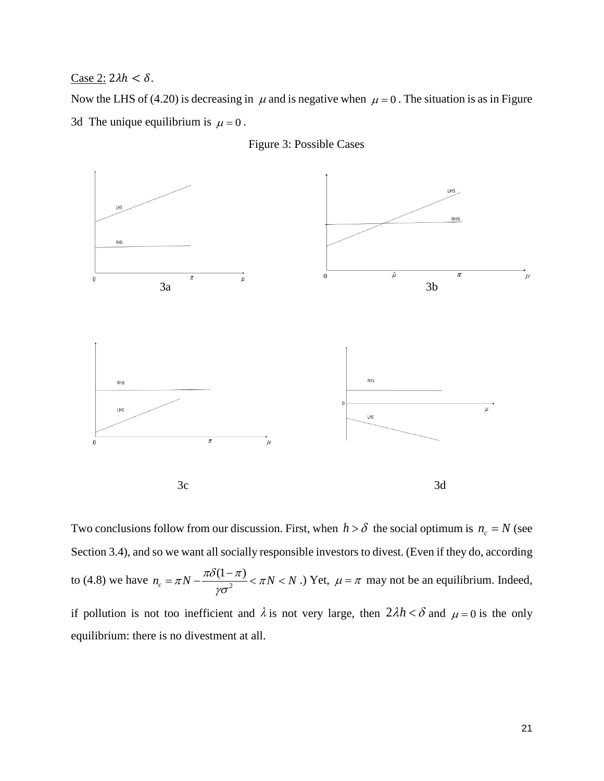Case 2:  $2\lambda h < \delta$ .

Now the LHS of (4.20) is decreasing in  $\mu$  and is negative when  $\mu = 0$ . The situation is as in Figure 3d The unique equilibrium is  $\mu = 0$ .





Two conclusions follow from our discussion. First, when  $h > \delta$  the social optimum is  $n_c = N$  (see Section 3.4), and so we want all socially responsible investors to divest. (Even if they do, according to (4.8) we have  $n_c = \pi N - \frac{\pi \delta (1 - \pi)}{(\sigma^2)^2} < \pi N < N$ γσ  $=\pi N-\frac{\pi\delta(1-\pi)}{2}<\pi N< N$ .) Yet,  $\mu=\pi$  may not be an equilibrium. Indeed, if pollution is not too inefficient and  $\lambda$  is not very large, then  $2\lambda h < \delta$  and  $\mu = 0$  is the only equilibrium: there is no divestment at all.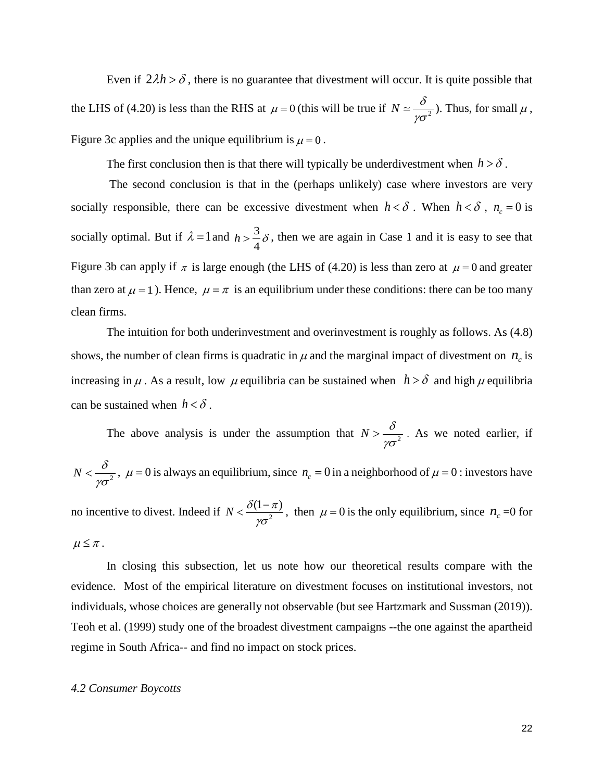Even if  $2\lambda h > \delta$ , there is no guarantee that divestment will occur. It is quite possible that the LHS of (4.20) is less than the RHS at  $\mu = 0$  (this will be true if  $N = \frac{\delta}{\gamma \sigma^2}$ ). Thus, for small  $\mu$ , Figure 3c applies and the unique equilibrium is  $\mu = 0$ .

The first conclusion then is that there will typically be underdivestment when  $h > \delta$ .

 The second conclusion is that in the (perhaps unlikely) case where investors are very socially responsible, there can be excessive divestment when  $h < \delta$ . When  $h < \delta$ ,  $n_c = 0$  is socially optimal. But if  $\lambda = 1$  and  $h > \frac{3}{4}$ 4  $h > \frac{3}{4}\delta$ , then we are again in Case 1 and it is easy to see that Figure 3b can apply if  $\pi$  is large enough (the LHS of (4.20) is less than zero at  $\mu = 0$  and greater than zero at  $\mu = 1$ ). Hence,  $\mu = \pi$  is an equilibrium under these conditions: there can be too many clean firms.

 The intuition for both underinvestment and overinvestment is roughly as follows. As (4.8) shows, the number of clean firms is quadratic in  $\mu$  and the marginal impact of divestment on  $n_c$  is increasing in  $\mu$ . As a result, low  $\mu$  equilibria can be sustained when  $h > \delta$  and high  $\mu$  equilibria can be sustained when  $h < \delta$ .

The above analysis is under the assumption that  $N > \frac{\delta}{\sqrt{2\pi}}$ γσ  $>\frac{6}{2}$ . As we noted earlier, if  $N < \frac{\delta}{\sqrt{2}}$  $< \frac{\sigma}{\gamma \sigma^2}$ ,  $\mu = 0$  is always an equilibrium, since  $n_c = 0$  in a neighborhood of  $\mu = 0$ : investors have

no incentive to divest. Indeed if  $N < \frac{\delta(1-\pi)}{n\sigma^2}$  $\langle \frac{\delta(1-\pi)}{\gamma \sigma^2} \rangle$ , then  $\mu = 0$  is the only equilibrium, since  $n_c = 0$  for  $\mu \leq \pi$ .

In closing this subsection, let us note how our theoretical results compare with the evidence. Most of the empirical literature on divestment focuses on institutional investors, not individuals, whose choices are generally not observable (but see Hartzmark and Sussman (2019)). Teoh et al. (1999) study one of the broadest divestment campaigns --the one against the apartheid regime in South Africa-- and find no impact on stock prices.

## *4.2 Consumer Boycotts*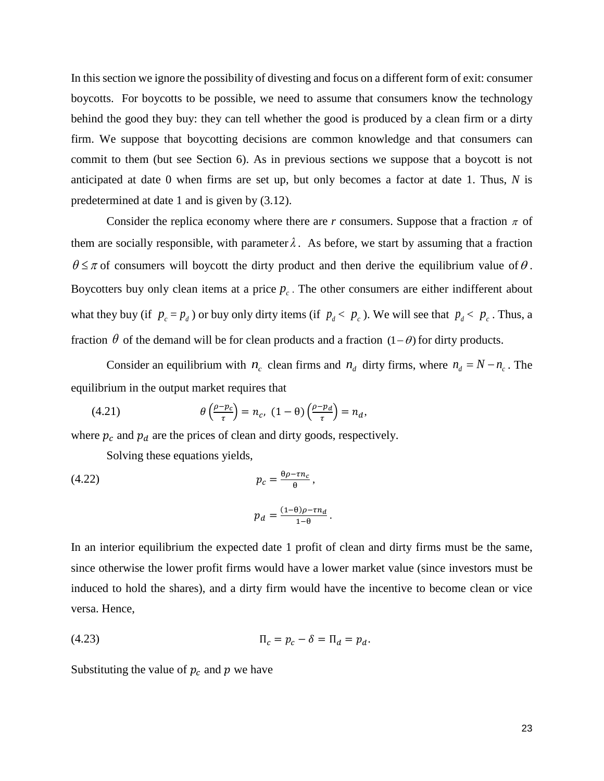In this section we ignore the possibility of divesting and focus on a different form of exit: consumer boycotts. For boycotts to be possible, we need to assume that consumers know the technology behind the good they buy: they can tell whether the good is produced by a clean firm or a dirty firm. We suppose that boycotting decisions are common knowledge and that consumers can commit to them (but see Section 6). As in previous sections we suppose that a boycott is not anticipated at date 0 when firms are set up, but only becomes a factor at date 1. Thus, *N* is predetermined at date 1 and is given by (3.12).

Consider the replica economy where there are *r* consumers. Suppose that a fraction  $\pi$  of them are socially responsible, with parameter  $\lambda$ . As before, we start by assuming that a fraction  $\theta \leq \pi$  of consumers will boycott the dirty product and then derive the equilibrium value of  $\theta$ . Boycotters buy only clean items at a price  $p_c$ . The other consumers are either indifferent about what they buy (if  $p_c = p_d$ ) or buy only dirty items (if  $p_d < p_c$ ). We will see that  $p_d < p_c$ . Thus, a fraction  $\theta$  of the demand will be for clean products and a fraction (1 –  $\theta$ ) for dirty products.

Consider an equilibrium with  $n_c$  clean firms and  $n_d$  dirty firms, where  $n_d = N - n_c$ . The equilibrium in the output market requires that

(4.21) 
$$
\theta\left(\frac{\rho - p_c}{\tau}\right) = n_c, \ (1 - \theta)\left(\frac{\rho - p_d}{\tau}\right) = n_d,
$$

where  $p_c$  and  $p_d$  are the prices of clean and dirty goods, respectively.

Solving these equations yields,

(4.22) 
$$
p_c = \frac{\theta \rho - \tau n_c}{\theta},
$$

$$
p_d = \frac{(1 - \theta)\rho - \tau n_d}{1 - \theta}.
$$

In an interior equilibrium the expected date 1 profit of clean and dirty firms must be the same, since otherwise the lower profit firms would have a lower market value (since investors must be induced to hold the shares), and a dirty firm would have the incentive to become clean or vice versa. Hence,

$$
\Pi_c = p_c - \delta = \Pi_d = p_d.
$$

Substituting the value of  $p_c$  and  $p$  we have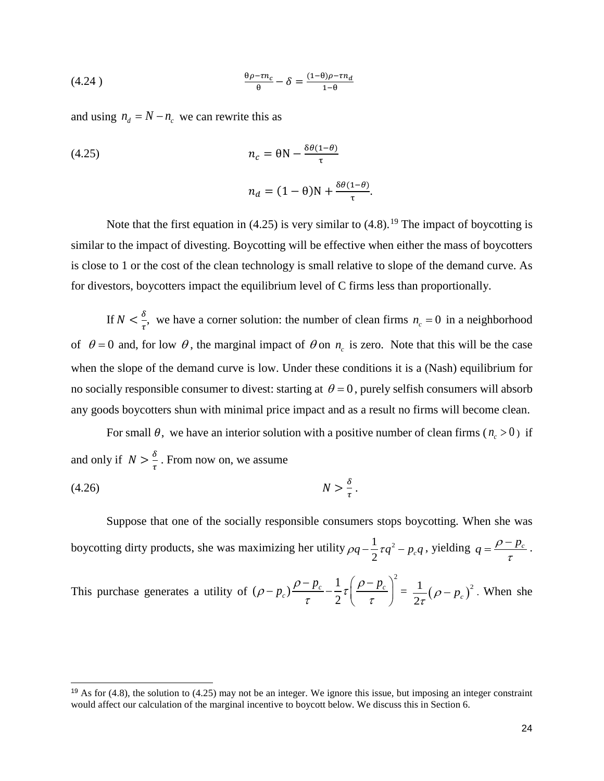$$
\frac{\theta \rho - \tau n_c}{\theta} - \delta = \frac{(1 - \theta)\rho - \tau n_d}{1 - \theta}
$$

and using  $n_d = N - n_c$  we can rewrite this as

(4.25) 
$$
n_c = \theta N - \frac{\delta \theta (1-\theta)}{\tau}
$$

$$
n_d = (1-\theta)N + \frac{\delta \theta (1-\theta)}{\tau}.
$$

Note that the first equation in (4.25) is very similar to (4.8).<sup>[19](#page-24-0)</sup> The impact of boycotting is similar to the impact of divesting. Boycotting will be effective when either the mass of boycotters is close to 1 or the cost of the clean technology is small relative to slope of the demand curve. As for divestors, boycotters impact the equilibrium level of C firms less than proportionally.

If  $N < \frac{\delta}{\tau}$ , we have a corner solution: the number of clean firms  $n_c = 0$  in a neighborhood of  $\theta = 0$  and, for low  $\theta$ , the marginal impact of  $\theta$  on  $n_c$  is zero. Note that this will be the case when the slope of the demand curve is low. Under these conditions it is a (Nash) equilibrium for no socially responsible consumer to divest: starting at  $\theta = 0$ , purely selfish consumers will absorb any goods boycotters shun with minimal price impact and as a result no firms will become clean.

For small  $\theta$ , we have an interior solution with a positive number of clean firms ( $n_c > 0$ ) if and only if  $N > \frac{\delta}{\tau}$ . From now on, we assume

$$
(4.26) \t\t\t N > \frac{\delta}{\tau}.
$$

-

 Suppose that one of the socially responsible consumers stops boycotting. When she was boycotting dirty products, she was maximizing her utility  $\rho q - \frac{1}{2} \tau q^2 - p_c q$ , yielding  $q = \frac{\rho - p_c}{\tau}$ .

This purchase generates a utility of  $(\rho - p_c) \frac{\rho - p_c}{\tau} - \frac{1}{2} \tau \left( \frac{\rho - p_c}{\tau} \right)^2$  $(\rho - p_c) \frac{\rho - p_c}{\tau} - \frac{1}{2} \tau \left( \frac{\rho - p_c}{\tau} \right)^2 = \frac{1}{2\tau} (\rho - p_c)^2$ . When she

<span id="page-24-0"></span><sup>&</sup>lt;sup>19</sup> As for  $(4.8)$ , the solution to  $(4.25)$  may not be an integer. We ignore this issue, but imposing an integer constraint would affect our calculation of the marginal incentive to boycott below. We discuss this in Section 6.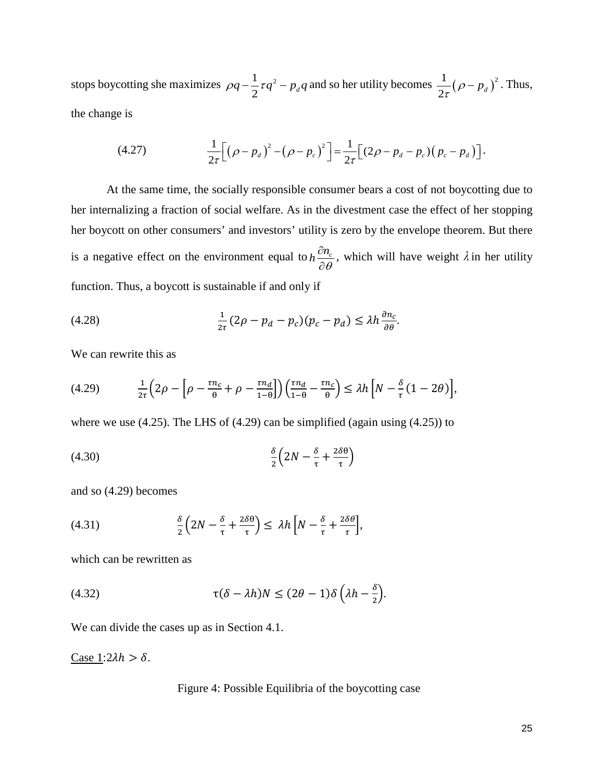stops boycotting she maximizes  $\rho q - \frac{1}{2} \tau q^2 - p_d q$  and so her utility becomes  $\frac{1}{2\tau} (\rho - p_d)^2$ . Thus, the change is

(4.27) 
$$
\frac{1}{2\tau}\Big[\big(\rho-p_d\big)^2-\big(\rho-p_c\big)^2\Big]=\frac{1}{2\tau}\Big[(2\rho-p_d-p_c)\big(p_c-p_d\big)\Big].
$$

At the same time, the socially responsible consumer bears a cost of not boycotting due to her internalizing a fraction of social welfare. As in the divestment case the effect of her stopping her boycott on other consumers' and investors' utility is zero by the envelope theorem. But there is a negative effect on the environment equal to  $h \frac{\partial n_c}{\partial \theta}$  $\frac{\partial n_c}{\partial \theta}$ , which will have weight  $\lambda$  in her utility function. Thus, a boycott is sustainable if and only if

(4.28) 
$$
\frac{1}{2\tau}(2\rho - p_d - p_c)(p_c - p_d) \leq \lambda h \frac{\partial n_c}{\partial \theta}.
$$

We can rewrite this as

$$
(4.29) \qquad \frac{1}{2\tau}\left(2\rho - \left[\rho - \frac{\tau n_c}{\theta} + \rho - \frac{\tau n_d}{1 - \theta}\right]\right)\left(\frac{\tau n_d}{1 - \theta} - \frac{\tau n_c}{\theta}\right) \le \lambda h \left[N - \frac{\delta}{\tau}(1 - 2\theta)\right],
$$

where we use (4.25). The LHS of (4.29) can be simplified (again using (4.25)) to

$$
(4.30)\qquad \frac{\delta}{2}\left(2N - \frac{\delta}{\tau} + \frac{2\delta\theta}{\tau}\right)
$$

and so (4.29) becomes

(4.31) 
$$
\frac{\delta}{2}\left(2N-\frac{\delta}{\tau}+\frac{2\delta\theta}{\tau}\right)\leq \lambda h\left[N-\frac{\delta}{\tau}+\frac{2\delta\theta}{\tau}\right],
$$

which can be rewritten as

(4.32) 
$$
\tau(\delta - \lambda h)N \leq (2\theta - 1)\delta\left(\lambda h - \frac{\delta}{2}\right).
$$

We can divide the cases up as in Section 4.1.

Case 1: $2\lambda h > \delta$ .

Figure 4: Possible Equilibria of the boycotting case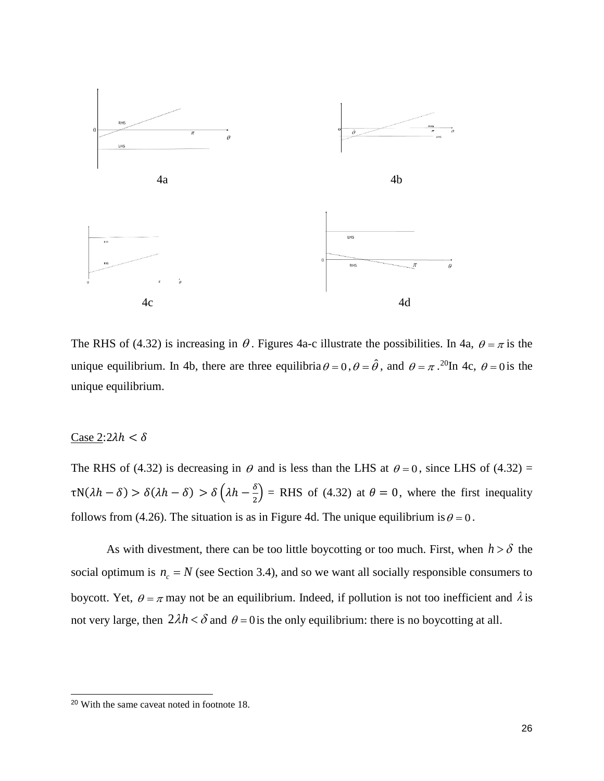

The RHS of (4.32) is increasing in  $\theta$ . Figures 4a-c illustrate the possibilities. In 4a,  $\theta = \pi$  is the unique equilibrium. In 4b, there are three equilibria  $\theta = 0$ ,  $\theta = \hat{\theta}$ , and  $\theta = \pi$ . <sup>20</sup>In 4c,  $\theta = 0$  is the unique equilibrium.

# Case  $2:2\lambda h < \delta$

j

The RHS of (4.32) is decreasing in  $\theta$  and is less than the LHS at  $\theta = 0$ , since LHS of (4.32) =  $\tau N(\lambda h - \delta) > \delta(\lambda h - \delta) > \delta(\lambda h - \frac{\delta}{2})$  = RHS of (4.32) at  $\theta = 0$ , where the first inequality follows from (4.26). The situation is as in Figure 4d. The unique equilibrium is  $\theta = 0$ .

As with divestment, there can be too little boycotting or too much. First, when  $h > \delta$  the social optimum is  $n_c = N$  (see Section 3.4), and so we want all socially responsible consumers to boycott. Yet,  $\theta = \pi$  may not be an equilibrium. Indeed, if pollution is not too inefficient and  $\lambda$  is not very large, then  $2\lambda h < \delta$  and  $\theta = 0$  is the only equilibrium: there is no boycotting at all.

<span id="page-26-0"></span><sup>20</sup> With the same caveat noted in footnote 18.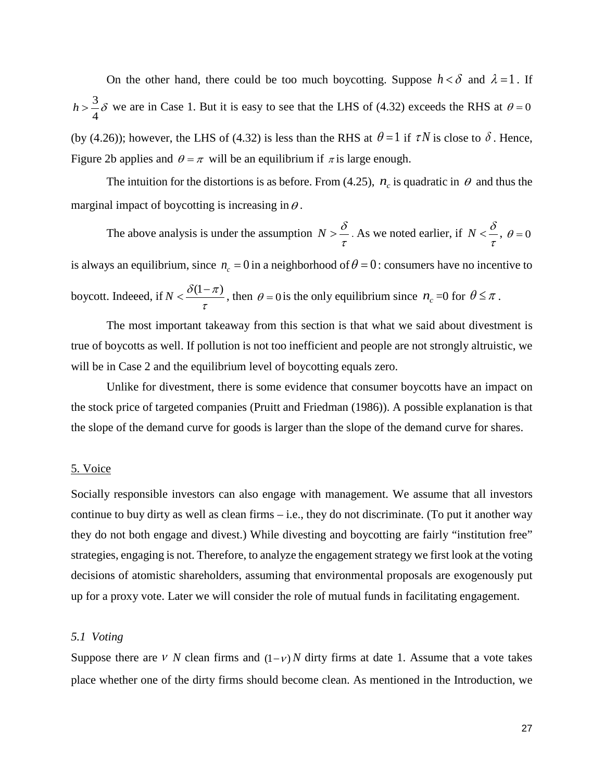On the other hand, there could be too much boycotting. Suppose  $h < \delta$  and  $\lambda = 1$ . If 3 4  $h > \frac{3}{4}\delta$  we are in Case 1. But it is easy to see that the LHS of (4.32) exceeds the RHS at  $\theta = 0$ (by (4.26)); however, the LHS of (4.32) is less than the RHS at  $\theta = 1$  if  $\tau N$  is close to  $\delta$ . Hence, Figure 2b applies and  $\theta = \pi$  will be an equilibrium if  $\pi$  is large enough.

The intuition for the distortions is as before. From (4.25),  $n_c$  is quadratic in  $\theta$  and thus the marginal impact of boycotting is increasing in  $\theta$ .

The above analysis is under the assumption  $N > \frac{\delta}{\tau}$ . As we noted earlier, if  $N < \frac{\delta}{\tau}$ ,  $\theta = 0$ is always an equilibrium, since  $n_c = 0$  in a neighborhood of  $\theta = 0$ : consumers have no incentive to boycott. Indeeed, if  $N < \frac{\delta(1-\pi)}{\tau}$ , then  $\theta = 0$  is the only equilibrium since  $n_c = 0$  for  $\theta \le \pi$ .

The most important takeaway from this section is that what we said about divestment is true of boycotts as well. If pollution is not too inefficient and people are not strongly altruistic, we will be in Case 2 and the equilibrium level of boycotting equals zero.

Unlike for divestment, there is some evidence that consumer boycotts have an impact on the stock price of targeted companies (Pruitt and Friedman (1986)). A possible explanation is that the slope of the demand curve for goods is larger than the slope of the demand curve for shares.

# 5. Voice

Socially responsible investors can also engage with management. We assume that all investors continue to buy dirty as well as clean firms – i.e., they do not discriminate. (To put it another way they do not both engage and divest.) While divesting and boycotting are fairly "institution free" strategies, engaging is not. Therefore, to analyze the engagement strategy we first look at the voting decisions of atomistic shareholders, assuming that environmental proposals are exogenously put up for a proxy vote. Later we will consider the role of mutual funds in facilitating engagement.

# *5.1 Voting*

Suppose there are *v N* clean firms and  $(1 - v)$  *N* dirty firms at date 1. Assume that a vote takes place whether one of the dirty firms should become clean. As mentioned in the Introduction, we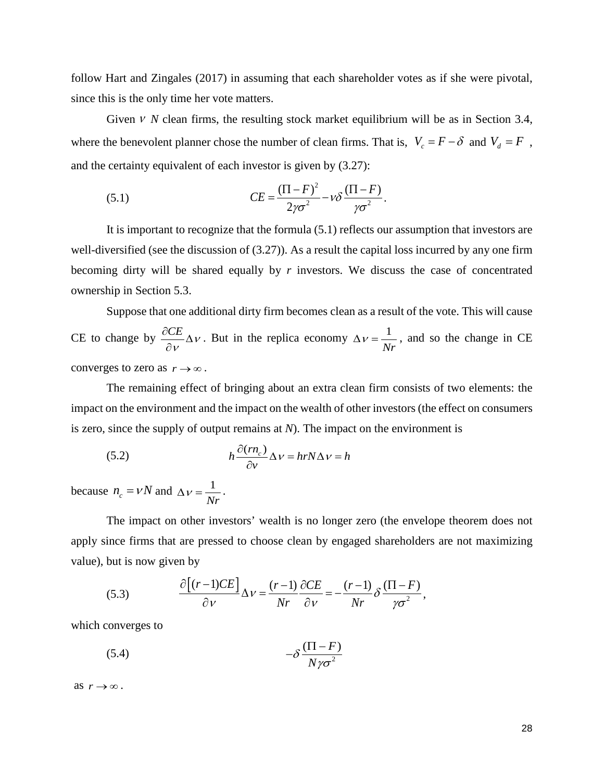follow Hart and Zingales (2017) in assuming that each shareholder votes as if she were pivotal, since this is the only time her vote matters.

Given ν *N* clean firms, the resulting stock market equilibrium will be as in Section 3.4, where the benevolent planner chose the number of clean firms. That is,  $V_c = F - \delta$  and  $V_d = F$ , and the certainty equivalent of each investor is given by (3.27):

(5.1) 
$$
CE = \frac{(\Pi - F)^2}{2\gamma\sigma^2} - \nu \delta \frac{(\Pi - F)}{\gamma\sigma^2}.
$$

It is important to recognize that the formula (5.1) reflects our assumption that investors are well-diversified (see the discussion of (3.27)). As a result the capital loss incurred by any one firm becoming dirty will be shared equally by *r* investors. We discuss the case of concentrated ownership in Section 5.3.

Suppose that one additional dirty firm becomes clean as a result of the vote. This will cause CE to change by  $\frac{\partial CE}{\partial \ }DeltaV$  $\frac{\partial CE}{\partial V} \Delta V$ . But in the replica economy  $\Delta V = \frac{1}{Nr}$  $\Delta v = \frac{1}{v}$ , and so the change in CE converges to zero as  $r \to \infty$ .

The remaining effect of bringing about an extra clean firm consists of two elements: the impact on the environment and the impact on the wealth of other investors (the effect on consumers is zero, since the supply of output remains at *N*). The impact on the environment is

(5.2) 
$$
h \frac{\partial (rn_c)}{\partial v} \Delta v = hrN \Delta v = h
$$

because  $n_c = vN$  and  $\Delta v = \frac{1}{Nr}$  $\Delta v = \frac{1}{\sqrt{2}}$ .

The impact on other investors' wealth is no longer zero (the envelope theorem does not apply since firms that are pressed to choose clean by engaged shareholders are not maximizing value), but is now given by

(5.3) 
$$
\frac{\partial \left[ (r-1)CE \right]}{\partial v} \Delta v = \frac{(r-1)}{Nr} \frac{\partial CE}{\partial v} = -\frac{(r-1)}{Nr} \delta \frac{(\Pi - F)}{\gamma \sigma^2},
$$

which converges to

$$
(5.4) \t-\delta \frac{(\Pi - F)}{N \gamma \sigma^2}
$$

as  $r \rightarrow \infty$ .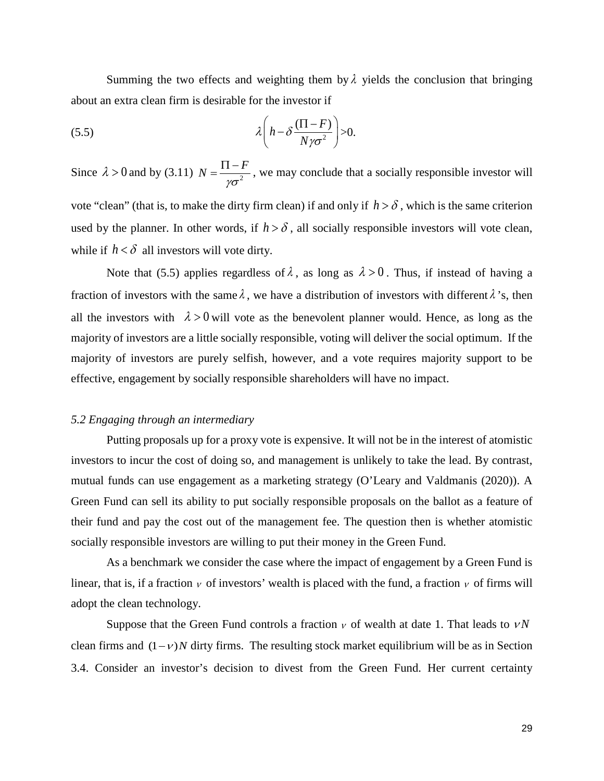Summing the two effects and weighting them by  $\lambda$  yields the conclusion that bringing about an extra clean firm is desirable for the investor if

$$
\lambda \left( h - \delta \frac{(\Pi - F)}{N \gamma \sigma^2} \right) > 0.
$$

Since  $\lambda > 0$  and by (3.11)  $N = \frac{\Pi - F}{\mu \sigma^2}$ γσ  $=\frac{\Pi - F}{\lambda}$ , we may conclude that a socially responsible investor will vote "clean" (that is, to make the dirty firm clean) if and only if  $h > \delta$ , which is the same criterion used by the planner. In other words, if  $h > \delta$ , all socially responsible investors will vote clean, while if  $h < \delta$  all investors will vote dirty.

Note that (5.5) applies regardless of  $\lambda$ , as long as  $\lambda > 0$ . Thus, if instead of having a fraction of investors with the same  $\lambda$ , we have a distribution of investors with different  $\lambda$ 's, then all the investors with  $\lambda > 0$  will vote as the benevolent planner would. Hence, as long as the majority of investors are a little socially responsible, voting will deliver the social optimum. If the majority of investors are purely selfish, however, and a vote requires majority support to be effective, engagement by socially responsible shareholders will have no impact.

#### *5.2 Engaging through an intermediary*

Putting proposals up for a proxy vote is expensive. It will not be in the interest of atomistic investors to incur the cost of doing so, and management is unlikely to take the lead. By contrast, mutual funds can use engagement as a marketing strategy (O'Leary and Valdmanis (2020)). A Green Fund can sell its ability to put socially responsible proposals on the ballot as a feature of their fund and pay the cost out of the management fee. The question then is whether atomistic socially responsible investors are willing to put their money in the Green Fund.

 As a benchmark we consider the case where the impact of engagement by a Green Fund is linear, that is, if a fraction  $\nu$  of investors' wealth is placed with the fund, a fraction  $\nu$  of firms will adopt the clean technology.

Suppose that the Green Fund controls a fraction  $\nu$  of wealth at date 1. That leads to  $\nu N$ clean firms and  $(1 - v)N$  dirty firms. The resulting stock market equilibrium will be as in Section 3.4. Consider an investor's decision to divest from the Green Fund. Her current certainty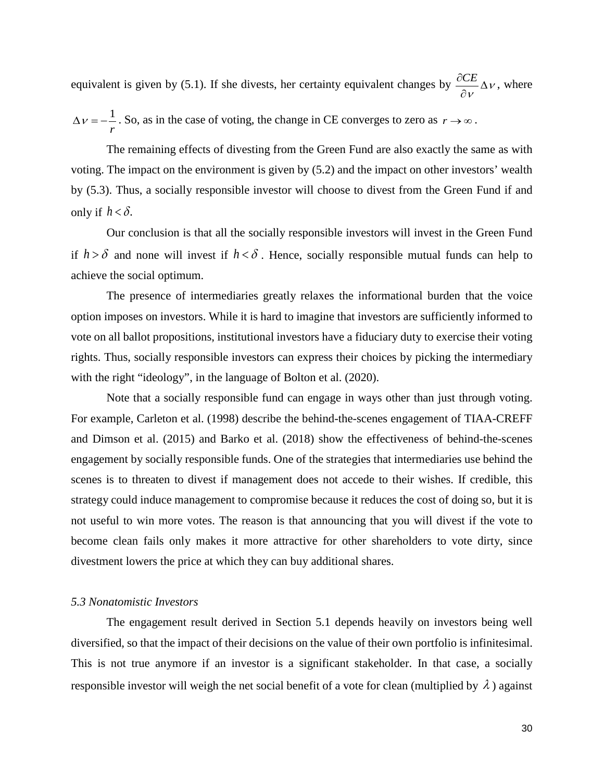equivalent is given by (5.1). If she divests, her certainty equivalent changes by  $\frac{\partial CE}{\partial x} \Delta v$  $\frac{\partial CE}{\partial V} \Delta V$ , where

1 *r*  $\Delta v = -\frac{1}{2}$ . So, as in the case of voting, the change in CE converges to zero as  $r \rightarrow \infty$ .

The remaining effects of divesting from the Green Fund are also exactly the same as with voting. The impact on the environment is given by (5.2) and the impact on other investors' wealth by (5.3). Thus, a socially responsible investor will choose to divest from the Green Fund if and only if  $h < \delta$ .

Our conclusion is that all the socially responsible investors will invest in the Green Fund if  $h > \delta$  and none will invest if  $h < \delta$ . Hence, socially responsible mutual funds can help to achieve the social optimum.

The presence of intermediaries greatly relaxes the informational burden that the voice option imposes on investors. While it is hard to imagine that investors are sufficiently informed to vote on all ballot propositions, institutional investors have a fiduciary duty to exercise their voting rights. Thus, socially responsible investors can express their choices by picking the intermediary with the right "ideology", in the language of Bolton et al. (2020).

Note that a socially responsible fund can engage in ways other than just through voting. For example, Carleton et al. (1998) describe the behind-the-scenes engagement of TIAA-CREFF and Dimson et al. (2015) and Barko et al. (2018) show the effectiveness of behind-the-scenes engagement by socially responsible funds. One of the strategies that intermediaries use behind the scenes is to threaten to divest if management does not accede to their wishes. If credible, this strategy could induce management to compromise because it reduces the cost of doing so, but it is not useful to win more votes. The reason is that announcing that you will divest if the vote to become clean fails only makes it more attractive for other shareholders to vote dirty, since divestment lowers the price at which they can buy additional shares.

#### *5.3 Nonatomistic Investors*

The engagement result derived in Section 5.1 depends heavily on investors being well diversified, so that the impact of their decisions on the value of their own portfolio is infinitesimal. This is not true anymore if an investor is a significant stakeholder. In that case, a socially responsible investor will weigh the net social benefit of a vote for clean (multiplied by  $\lambda$ ) against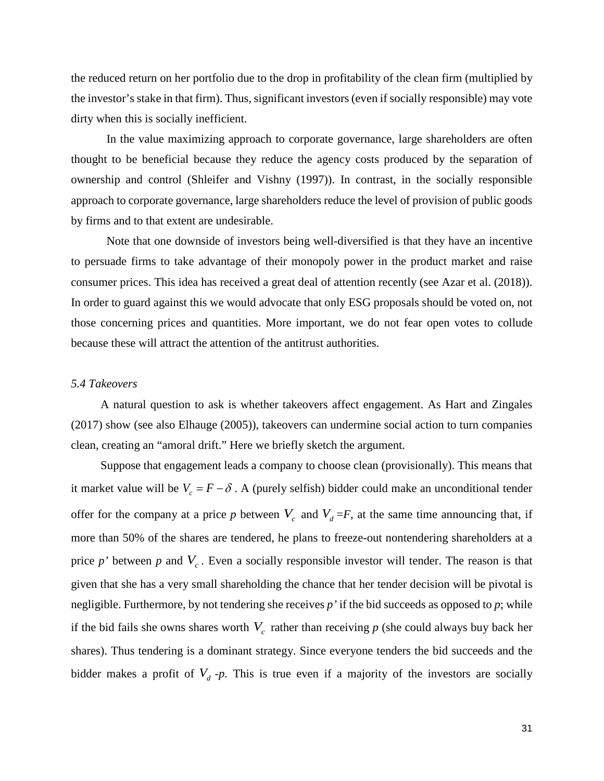the reduced return on her portfolio due to the drop in profitability of the clean firm (multiplied by the investor's stake in that firm). Thus, significant investors (even if socially responsible) may vote dirty when this is socially inefficient.

In the value maximizing approach to corporate governance, large shareholders are often thought to be beneficial because they reduce the agency costs produced by the separation of ownership and control (Shleifer and Vishny (1997)). In contrast, in the socially responsible approach to corporate governance, large shareholders reduce the level of provision of public goods by firms and to that extent are undesirable.

Note that one downside of investors being well-diversified is that they have an incentive to persuade firms to take advantage of their monopoly power in the product market and raise consumer prices. This idea has received a great deal of attention recently (see Azar et al. (2018)). In order to guard against this we would advocate that only ESG proposals should be voted on, not those concerning prices and quantities. More important, we do not fear open votes to collude because these will attract the attention of the antitrust authorities.

### *5.4 Takeovers*

 A natural question to ask is whether takeovers affect engagement. As Hart and Zingales (2017) show (see also Elhauge (2005)), takeovers can undermine social action to turn companies clean, creating an "amoral drift." Here we briefly sketch the argument.

 Suppose that engagement leads a company to choose clean (provisionally). This means that it market value will be  $V_c = F - \delta$ . A (purely selfish) bidder could make an unconditional tender offer for the company at a price p between  $V_c$  and  $V_d = F$ , at the same time announcing that, if more than 50% of the shares are tendered, he plans to freeze-out nontendering shareholders at a price  $p'$  between  $p$  and  $V_c$ . Even a socially responsible investor will tender. The reason is that given that she has a very small shareholding the chance that her tender decision will be pivotal is negligible. Furthermore, by not tendering she receives *p'* if the bid succeeds as opposed to *p*; while if the bid fails she owns shares worth  $V_c$  rather than receiving  $p$  (she could always buy back her shares). Thus tendering is a dominant strategy. Since everyone tenders the bid succeeds and the bidder makes a profit of  $V<sub>d</sub>$ -*p*. This is true even if a majority of the investors are socially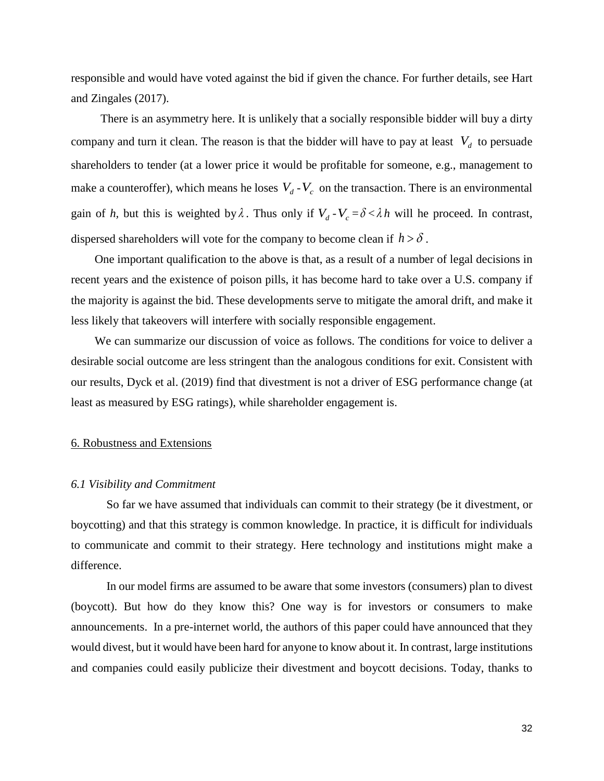responsible and would have voted against the bid if given the chance. For further details, see Hart and Zingales (2017).

 There is an asymmetry here. It is unlikely that a socially responsible bidder will buy a dirty company and turn it clean. The reason is that the bidder will have to pay at least  $V<sub>d</sub>$  to persuade shareholders to tender (at a lower price it would be profitable for someone, e.g., management to make a counteroffer), which means he loses  $V_d - V_c$  on the transaction. There is an environmental gain of *h*, but this is weighted by  $\lambda$ . Thus only if  $V_d - V_c = \delta \langle \lambda h \rangle$  will he proceed. In contrast, dispersed shareholders will vote for the company to become clean if  $h > \delta$ .

 One important qualification to the above is that, as a result of a number of legal decisions in recent years and the existence of poison pills, it has become hard to take over a U.S. company if the majority is against the bid. These developments serve to mitigate the amoral drift, and make it less likely that takeovers will interfere with socially responsible engagement.

 We can summarize our discussion of voice as follows. The conditions for voice to deliver a desirable social outcome are less stringent than the analogous conditions for exit. Consistent with our results, Dyck et al. (2019) find that divestment is not a driver of ESG performance change (at least as measured by ESG ratings), while shareholder engagement is.

## 6. Robustness and Extensions

#### *6.1 Visibility and Commitment*

So far we have assumed that individuals can commit to their strategy (be it divestment, or boycotting) and that this strategy is common knowledge. In practice, it is difficult for individuals to communicate and commit to their strategy. Here technology and institutions might make a difference.

In our model firms are assumed to be aware that some investors (consumers) plan to divest (boycott). But how do they know this? One way is for investors or consumers to make announcements. In a pre-internet world, the authors of this paper could have announced that they would divest, but it would have been hard for anyone to know about it. In contrast, large institutions and companies could easily publicize their divestment and boycott decisions. Today, thanks to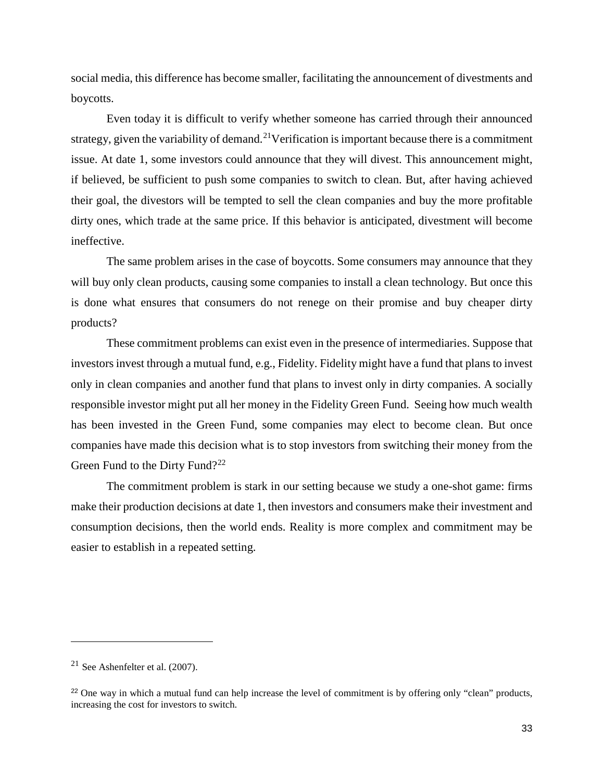social media, this difference has become smaller, facilitating the announcement of divestments and boycotts.

Even today it is difficult to verify whether someone has carried through their announced strategy, given the variability of demand.<sup>[21](#page-33-0)</sup>Verification is important because there is a commitment issue. At date 1, some investors could announce that they will divest. This announcement might, if believed, be sufficient to push some companies to switch to clean. But, after having achieved their goal, the divestors will be tempted to sell the clean companies and buy the more profitable dirty ones, which trade at the same price. If this behavior is anticipated, divestment will become ineffective.

The same problem arises in the case of boycotts. Some consumers may announce that they will buy only clean products, causing some companies to install a clean technology. But once this is done what ensures that consumers do not renege on their promise and buy cheaper dirty products?

These commitment problems can exist even in the presence of intermediaries. Suppose that investors invest through a mutual fund, e.g., Fidelity. Fidelity might have a fund that plans to invest only in clean companies and another fund that plans to invest only in dirty companies. A socially responsible investor might put all her money in the Fidelity Green Fund. Seeing how much wealth has been invested in the Green Fund, some companies may elect to become clean. But once companies have made this decision what is to stop investors from switching their money from the Green Fund to the Dirty Fund?<sup>[22](#page-33-1)</sup>

The commitment problem is stark in our setting because we study a one-shot game: firms make their production decisions at date 1, then investors and consumers make their investment and consumption decisions, then the world ends. Reality is more complex and commitment may be easier to establish in a repeated setting.

j

<span id="page-33-0"></span><sup>&</sup>lt;sup>21</sup> See Ashenfelter et al.  $(2007)$ .

<span id="page-33-1"></span><sup>&</sup>lt;sup>22</sup> One way in which a mutual fund can help increase the level of commitment is by offering only "clean" products, increasing the cost for investors to switch.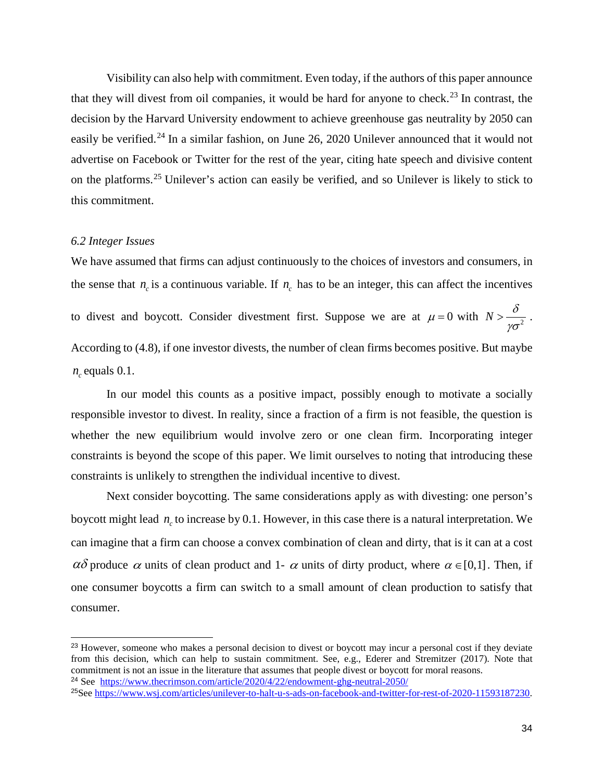Visibility can also help with commitment. Even today, if the authors of this paper announce that they will divest from oil companies, it would be hard for anyone to check.<sup>[23](#page-34-0)</sup> In contrast, the decision by the Harvard University endowment to achieve greenhouse gas neutrality by 2050 can easily be verified.<sup>[24](#page-34-1)</sup> In a similar fashion, on June 26, 2020 Unilever announced that it would not advertise on Facebook or Twitter for the rest of the year, citing hate speech and divisive content on the platforms.[25](#page-34-2) Unilever's action can easily be verified, and so Unilever is likely to stick to this commitment.

## *6.2 Integer Issues*

-

We have assumed that firms can adjust continuously to the choices of investors and consumers, in the sense that  $n_c$  is a continuous variable. If  $n_c$  has to be an integer, this can affect the incentives to divest and boycott. Consider divestment first. Suppose we are at  $\mu = 0$  with  $N > \frac{\delta}{\gamma \sigma^2}$  $>\frac{v}{\sqrt{2}}$ . According to (4.8), if one investor divests, the number of clean firms becomes positive. But maybe  $n_c$  equals 0.1.

In our model this counts as a positive impact, possibly enough to motivate a socially responsible investor to divest. In reality, since a fraction of a firm is not feasible, the question is whether the new equilibrium would involve zero or one clean firm. Incorporating integer constraints is beyond the scope of this paper. We limit ourselves to noting that introducing these constraints is unlikely to strengthen the individual incentive to divest.

Next consider boycotting. The same considerations apply as with divesting: one person's boycott might lead  $n_c$  to increase by 0.1. However, in this case there is a natural interpretation. We can imagine that a firm can choose a convex combination of clean and dirty, that is it can at a cost  $\alpha\delta$  produce  $\alpha$  units of clean product and 1-  $\alpha$  units of dirty product, where  $\alpha \in [0,1]$ . Then, if one consumer boycotts a firm can switch to a small amount of clean production to satisfy that consumer.

<span id="page-34-0"></span><sup>&</sup>lt;sup>23</sup> However, someone who makes a personal decision to divest or boycott may incur a personal cost if they deviate from this decision, which can help to sustain commitment. See, e.g., Ederer and Stremitzer (2017). Note that commitment is not an issue in the literature that assumes that people divest or boycott for moral reasons. <sup>24</sup> See <https://www.thecrimson.com/article/2020/4/22/endowment-ghg-neutral-2050/>

<span id="page-34-2"></span><span id="page-34-1"></span><sup>25</sup>See [https://www.wsj.com/articles/unilever-to-halt-u-s-ads-on-facebook-and-twitter-for-rest-of-2020-11593187230.](https://www.wsj.com/articles/unilever-to-halt-u-s-ads-on-facebook-and-twitter-for-rest-of-2020-11593187230)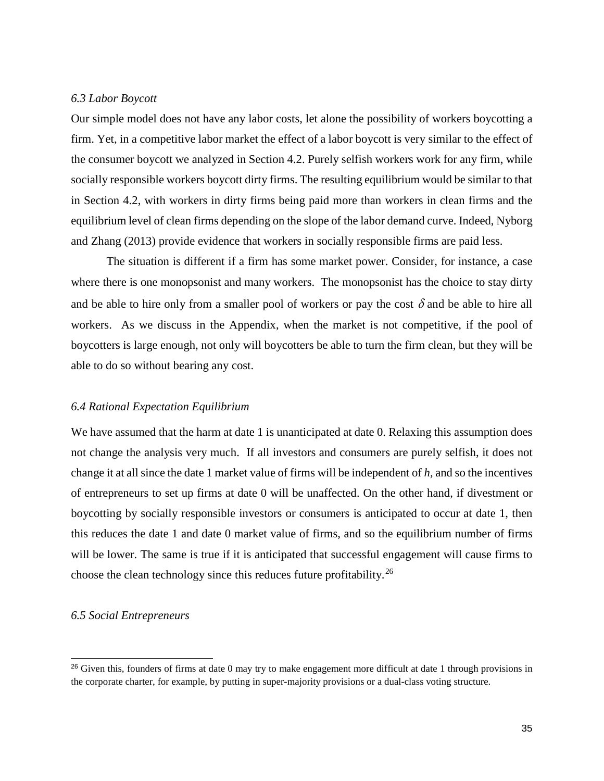#### *6.3 Labor Boycott*

Our simple model does not have any labor costs, let alone the possibility of workers boycotting a firm. Yet, in a competitive labor market the effect of a labor boycott is very similar to the effect of the consumer boycott we analyzed in Section 4.2. Purely selfish workers work for any firm, while socially responsible workers boycott dirty firms. The resulting equilibrium would be similar to that in Section 4.2, with workers in dirty firms being paid more than workers in clean firms and the equilibrium level of clean firms depending on the slope of the labor demand curve. Indeed, Nyborg and Zhang (2013) provide evidence that workers in socially responsible firms are paid less.

The situation is different if a firm has some market power. Consider, for instance, a case where there is one monopsonist and many workers. The monopsonist has the choice to stay dirty and be able to hire only from a smaller pool of workers or pay the cost  $\delta$  and be able to hire all workers. As we discuss in the Appendix, when the market is not competitive, if the pool of boycotters is large enough, not only will boycotters be able to turn the firm clean, but they will be able to do so without bearing any cost.

#### *6.4 Rational Expectation Equilibrium*

We have assumed that the harm at date 1 is unanticipated at date 0. Relaxing this assumption does not change the analysis very much. If all investors and consumers are purely selfish, it does not change it at all since the date 1 market value of firms will be independent of *h,* and so the incentives of entrepreneurs to set up firms at date 0 will be unaffected. On the other hand, if divestment or boycotting by socially responsible investors or consumers is anticipated to occur at date 1, then this reduces the date 1 and date 0 market value of firms, and so the equilibrium number of firms will be lower. The same is true if it is anticipated that successful engagement will cause firms to choose the clean technology since this reduces future profitability.[26](#page-35-0) 

## *6.5 Social Entrepreneurs*

j

<span id="page-35-0"></span> $^{26}$  Given this, founders of firms at date 0 may try to make engagement more difficult at date 1 through provisions in the corporate charter, for example, by putting in super-majority provisions or a dual-class voting structure.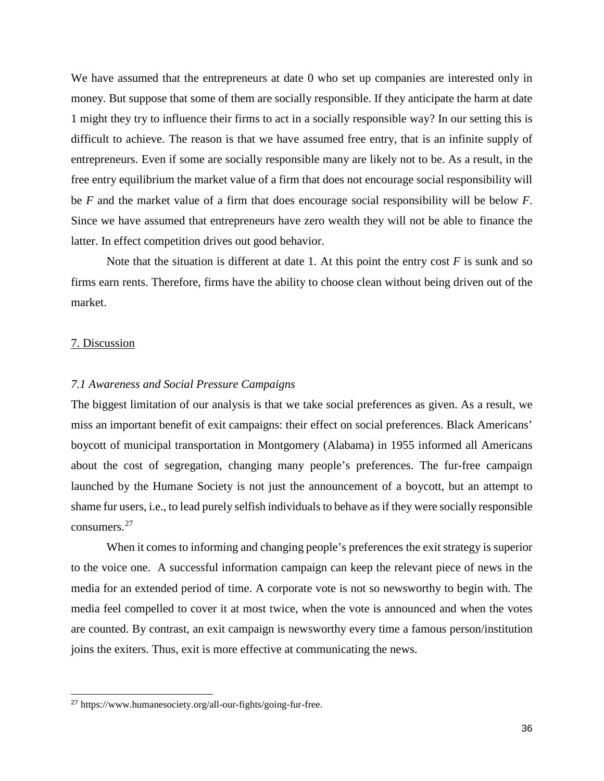We have assumed that the entrepreneurs at date 0 who set up companies are interested only in money. But suppose that some of them are socially responsible. If they anticipate the harm at date 1 might they try to influence their firms to act in a socially responsible way? In our setting this is difficult to achieve. The reason is that we have assumed free entry, that is an infinite supply of entrepreneurs. Even if some are socially responsible many are likely not to be. As a result, in the free entry equilibrium the market value of a firm that does not encourage social responsibility will be *F* and the market value of a firm that does encourage social responsibility will be below *F*. Since we have assumed that entrepreneurs have zero wealth they will not be able to finance the latter. In effect competition drives out good behavior.

Note that the situation is different at date 1. At this point the entry cost  $F$  is sunk and so firms earn rents. Therefore, firms have the ability to choose clean without being driven out of the market.

#### 7. Discussion

j

#### *7.1 Awareness and Social Pressure Campaigns*

The biggest limitation of our analysis is that we take social preferences as given. As a result, we miss an important benefit of exit campaigns: their effect on social preferences. Black Americans' boycott of municipal transportation in Montgomery (Alabama) in 1955 informed all Americans about the cost of segregation, changing many people's preferences. The fur-free campaign launched by the Humane Society is not just the announcement of a boycott, but an attempt to shame fur users, i.e., to lead purely selfish individuals to behave as if they were socially responsible consumers.[27](#page-36-0)

When it comes to informing and changing people's preferences the exit strategy is superior to the voice one. A successful information campaign can keep the relevant piece of news in the media for an extended period of time. A corporate vote is not so newsworthy to begin with. The media feel compelled to cover it at most twice, when the vote is announced and when the votes are counted. By contrast, an exit campaign is newsworthy every time a famous person/institution joins the exiters. Thus, exit is more effective at communicating the news.

<span id="page-36-0"></span><sup>27</sup> https://www.humanesociety.org/all-our-fights/going-fur-free.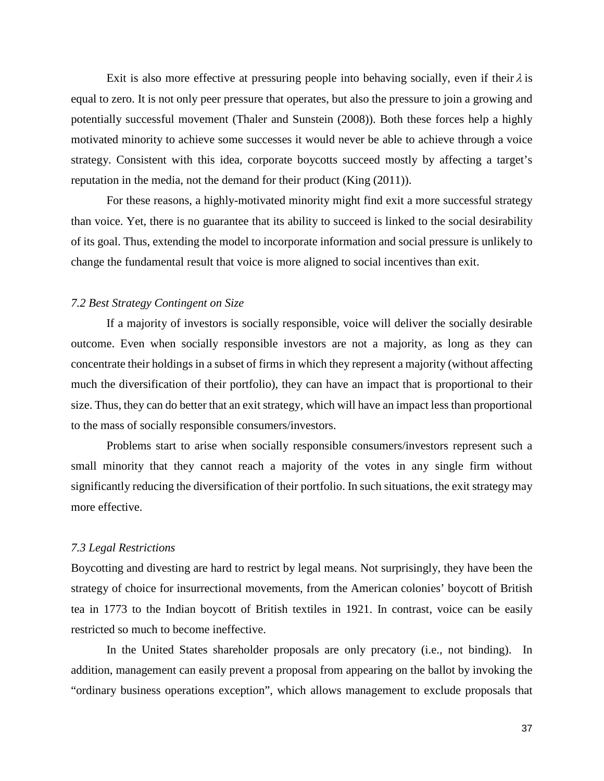Exit is also more effective at pressuring people into behaving socially, even if their  $\lambda$  is equal to zero. It is not only peer pressure that operates, but also the pressure to join a growing and potentially successful movement (Thaler and Sunstein (2008)). Both these forces help a highly motivated minority to achieve some successes it would never be able to achieve through a voice strategy. Consistent with this idea, corporate boycotts succeed mostly by affecting a target's reputation in the media, not the demand for their product (King (2011)).

For these reasons, a highly-motivated minority might find exit a more successful strategy than voice. Yet, there is no guarantee that its ability to succeed is linked to the social desirability of its goal. Thus, extending the model to incorporate information and social pressure is unlikely to change the fundamental result that voice is more aligned to social incentives than exit.

# *7.2 Best Strategy Contingent on Size*

If a majority of investors is socially responsible, voice will deliver the socially desirable outcome. Even when socially responsible investors are not a majority, as long as they can concentrate their holdings in a subset of firms in which they represent a majority (without affecting much the diversification of their portfolio), they can have an impact that is proportional to their size. Thus, they can do better that an exit strategy, which will have an impact less than proportional to the mass of socially responsible consumers/investors.

Problems start to arise when socially responsible consumers/investors represent such a small minority that they cannot reach a majority of the votes in any single firm without significantly reducing the diversification of their portfolio. In such situations, the exit strategy may more effective.

#### *7.3 Legal Restrictions*

Boycotting and divesting are hard to restrict by legal means. Not surprisingly, they have been the strategy of choice for insurrectional movements, from the American colonies' boycott of British tea in 1773 to the Indian boycott of British textiles in 1921. In contrast, voice can be easily restricted so much to become ineffective.

In the United States shareholder proposals are only precatory (i.e., not binding). In addition, management can easily prevent a proposal from appearing on the ballot by invoking the "ordinary business operations exception", which allows management to exclude proposals that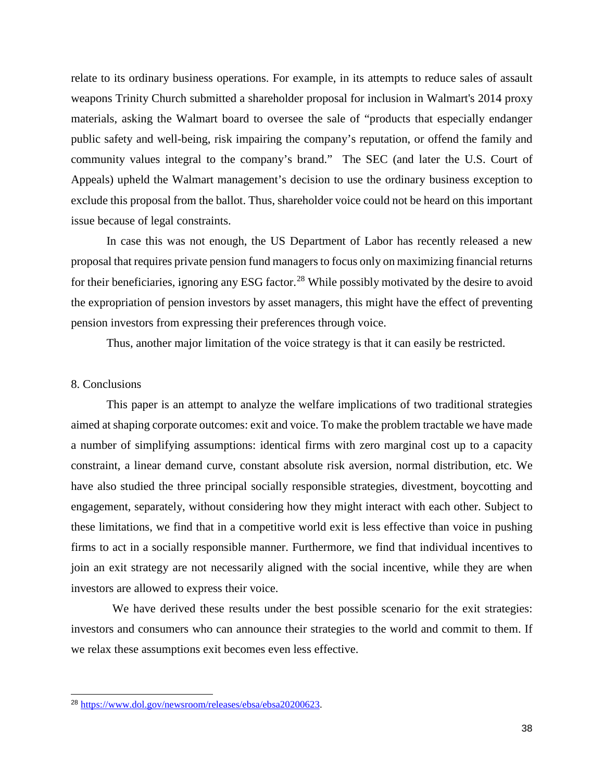relate to its ordinary business operations. For example, in its attempts to reduce sales of assault weapons Trinity Church submitted a shareholder proposal for inclusion in Walmart's 2014 proxy materials, asking the Walmart board to oversee the sale of "products that especially endanger public safety and well-being, risk impairing the company's reputation, or offend the family and community values integral to the company's brand." The SEC (and later the U.S. Court of Appeals) upheld the Walmart management's decision to use the ordinary business exception to exclude this proposal from the ballot. Thus, shareholder voice could not be heard on this important issue because of legal constraints.

In case this was not enough, the US Department of Labor has recently released a new proposal that requires private pension fund managers to focus only on maximizing financial returns for their beneficiaries, ignoring any ESG factor.<sup>[28](#page-38-0)</sup> While possibly motivated by the desire to avoid the expropriation of pension investors by asset managers, this might have the effect of preventing pension investors from expressing their preferences through voice.

Thus, another major limitation of the voice strategy is that it can easily be restricted.

## 8. Conclusions

j

This paper is an attempt to analyze the welfare implications of two traditional strategies aimed at shaping corporate outcomes: exit and voice. To make the problem tractable we have made a number of simplifying assumptions: identical firms with zero marginal cost up to a capacity constraint, a linear demand curve, constant absolute risk aversion, normal distribution, etc. We have also studied the three principal socially responsible strategies, divestment, boycotting and engagement, separately, without considering how they might interact with each other. Subject to these limitations, we find that in a competitive world exit is less effective than voice in pushing firms to act in a socially responsible manner. Furthermore, we find that individual incentives to join an exit strategy are not necessarily aligned with the social incentive, while they are when investors are allowed to express their voice.

We have derived these results under the best possible scenario for the exit strategies: investors and consumers who can announce their strategies to the world and commit to them. If we relax these assumptions exit becomes even less effective.

<span id="page-38-0"></span><sup>28</sup> [https://www.dol.gov/newsroom/releases/ebsa/ebsa20200623.](https://www.dol.gov/newsroom/releases/ebsa/ebsa20200623)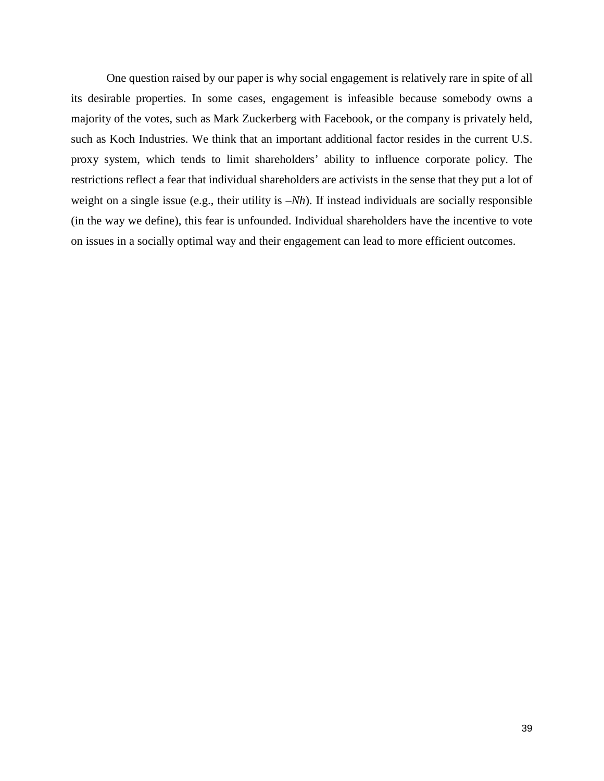One question raised by our paper is why social engagement is relatively rare in spite of all its desirable properties. In some cases, engagement is infeasible because somebody owns a majority of the votes, such as Mark Zuckerberg with Facebook, or the company is privately held, such as Koch Industries. We think that an important additional factor resides in the current U.S. proxy system, which tends to limit shareholders' ability to influence corporate policy. The restrictions reflect a fear that individual shareholders are activists in the sense that they put a lot of weight on a single issue (e.g., their utility is *–Nh*). If instead individuals are socially responsible (in the way we define), this fear is unfounded. Individual shareholders have the incentive to vote on issues in a socially optimal way and their engagement can lead to more efficient outcomes.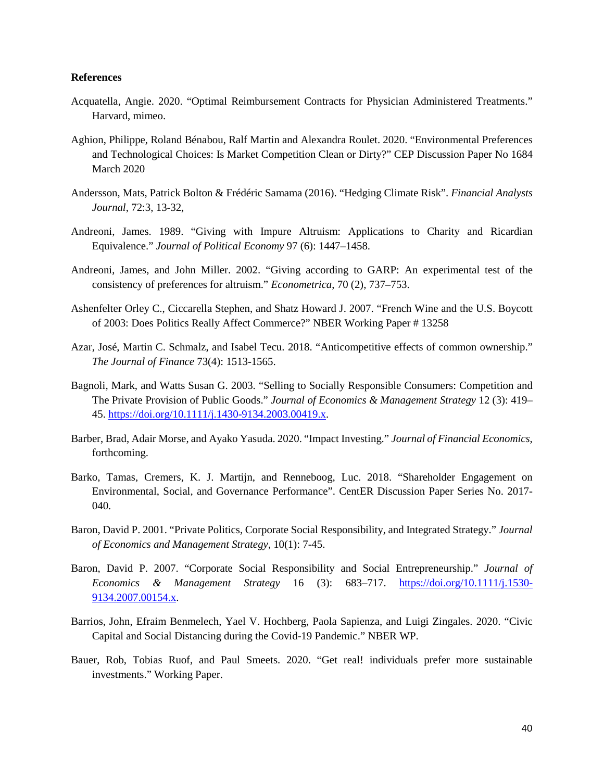#### **References**

- Acquatella, Angie. 2020. "Optimal Reimbursement Contracts for Physician Administered Treatments." Harvard, mimeo.
- Aghion, Philippe, Roland Bénabou, Ralf Martin and Alexandra Roulet. 2020. "Environmental Preferences and Technological Choices: Is Market Competition Clean or Dirty?" CEP Discussion Paper No 1684 March 2020
- Andersson, Mats, Patrick Bolton & Frédéric Samama (2016). "Hedging Climate Risk". *Financial Analysts Journal*, 72:3, 13-32,
- Andreoni, James. 1989. "Giving with Impure Altruism: Applications to Charity and Ricardian Equivalence." *Journal of Political Economy* 97 (6): 1447–1458.
- Andreoni, James, and John Miller. 2002. "Giving according to GARP: An experimental test of the consistency of preferences for altruism." *Econometrica*, 70 (2), 737–753.
- Ashenfelter Orley C., Ciccarella Stephen, and Shatz Howard J. 2007. "French Wine and the U.S. Boycott of 2003: Does Politics Really Affect Commerce?" NBER Working Paper # 13258
- Azar, José, Martin C. Schmalz, and Isabel Tecu. 2018. "Anticompetitive effects of common ownership." *The Journal of Finance* 73(4): 1513-1565.
- Bagnoli, Mark, and Watts Susan G. 2003. "Selling to Socially Responsible Consumers: Competition and The Private Provision of Public Goods." *Journal of Economics & Management Strategy* 12 (3): 419– 45. [https://doi.org/10.1111/j.1430-9134.2003.00419.x.](https://doi.org/10.1111/j.1430-9134.2003.00419.x)
- Barber, Brad, Adair Morse, and Ayako Yasuda. 2020. "Impact Investing." *Journal of Financial Economics*, forthcoming.
- Barko, Tamas, Cremers, K. J. Martijn, and Renneboog, Luc. 2018. "Shareholder Engagement on Environmental, Social, and Governance Performance". CentER Discussion Paper Series No. 2017- 040.
- Baron, David P. 2001. "Private Politics, Corporate Social Responsibility, and Integrated Strategy." *Journal of Economics and Management Strategy*, 10(1): 7-45.
- Baron, David P. 2007. "Corporate Social Responsibility and Social Entrepreneurship." *Journal of Economics & Management Strategy* 16 (3): 683–717. [https://doi.org/10.1111/j.1530-](https://doi.org/10.1111/j.1530-9134.2007.00154.x) [9134.2007.00154.x.](https://doi.org/10.1111/j.1530-9134.2007.00154.x)
- Barrios, John, Efraim Benmelech, Yael V. Hochberg, Paola Sapienza, and Luigi Zingales. 2020. "Civic Capital and Social Distancing during the Covid-19 Pandemic." NBER WP.
- Bauer, Rob, Tobias Ruof, and Paul Smeets. 2020. "Get real! individuals prefer more sustainable investments." Working Paper.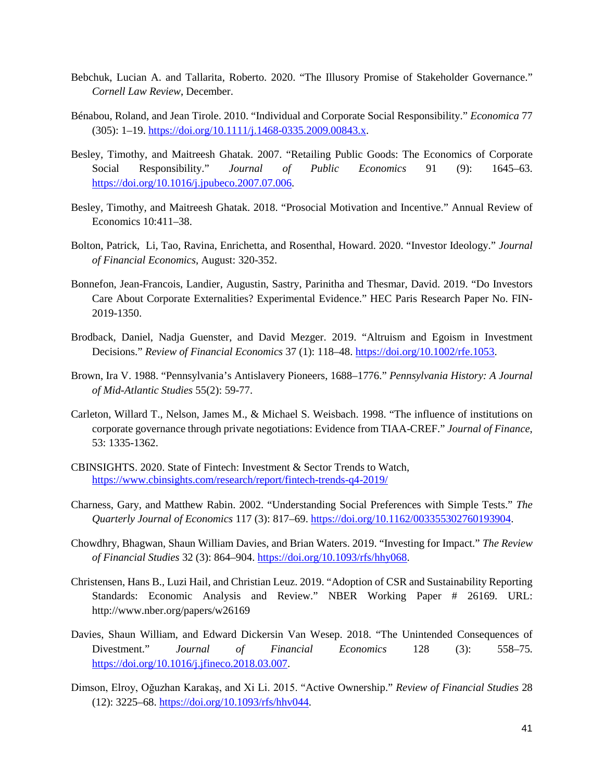- Bebchuk, Lucian A. and Tallarita, Roberto. 2020. "The Illusory Promise of Stakeholder Governance." *Cornell Law Review*, December.
- Bénabou, Roland, and Jean Tirole. 2010. "Individual and Corporate Social Responsibility." *Economica* 77 (305): 1–19. [https://doi.org/10.1111/j.1468-0335.2009.00843.x.](https://doi.org/10.1111/j.1468-0335.2009.00843.x)
- Besley, Timothy, and Maitreesh Ghatak. 2007. "Retailing Public Goods: The Economics of Corporate Social Responsibility." *Journal of Public Economics* 91 (9): 1645–63. [https://doi.org/10.1016/j.jpubeco.2007.07.006.](https://doi.org/10.1016/j.jpubeco.2007.07.006)
- Besley, Timothy, and Maitreesh Ghatak. 2018. "Prosocial Motivation and Incentive." Annual Review of Economics 10:411–38.
- Bolton, Patrick, Li, Tao, Ravina, Enrichetta, and Rosenthal, Howard. 2020. "Investor Ideology." *Journal of Financial Economics*, August: 320-352.
- Bonnefon, Jean-Francois, Landier, Augustin, Sastry, Parinitha and Thesmar, David. 2019. "Do Investors Care About Corporate Externalities? Experimental Evidence." HEC Paris Research Paper No. FIN-2019-1350.
- Brodback, Daniel, Nadja Guenster, and David Mezger. 2019. "Altruism and Egoism in Investment Decisions." *Review of Financial Economics* 37 (1): 118–48. [https://doi.org/10.1002/rfe.1053.](https://doi.org/10.1002/rfe.1053)
- Brown, Ira V. 1988. "Pennsylvania's Antislavery Pioneers, 1688–1776." *Pennsylvania History: A Journal of Mid-Atlantic Studies* 55(2): 59-77.
- Carleton, Willard T., Nelson, James M., & Michael S. Weisbach. 1998. "The influence of institutions on corporate governance through private negotiations: Evidence from TIAA-CREF." *Journal of Finance*, 53: 1335-1362.
- CBINSIGHTS. 2020. State of Fintech: Investment & Sector Trends to Watch, <https://www.cbinsights.com/research/report/fintech-trends-q4-2019/>
- Charness, Gary, and Matthew Rabin. 2002. "Understanding Social Preferences with Simple Tests." *The Quarterly Journal of Economics* 117 (3): 817–69. [https://doi.org/10.1162/003355302760193904.](https://doi.org/10.1162/003355302760193904)
- Chowdhry, Bhagwan, Shaun William Davies, and Brian Waters. 2019. "Investing for Impact." *The Review of Financial Studies* 32 (3): 864–904. [https://doi.org/10.1093/rfs/hhy068.](https://doi.org/10.1093/rfs/hhy068)
- Christensen, Hans B., Luzi Hail, and Christian Leuz. 2019. "Adoption of CSR and Sustainability Reporting Standards: Economic Analysis and Review." NBER Working Paper # 26169. URL: http://www.nber.org/papers/w26169
- Davies, Shaun William, and Edward Dickersin Van Wesep. 2018. "The Unintended Consequences of Divestment." *Journal of Financial Economics* 128 (3): 558–75. [https://doi.org/10.1016/j.jfineco.2018.03.007.](https://doi.org/10.1016/j.jfineco.2018.03.007)
- Dimson, Elroy, Oğuzhan Karakaş, and Xi Li. 2015. "Active Ownership." *Review of Financial Studies* 28 (12): 3225–68. [https://doi.org/10.1093/rfs/hhv044.](https://doi.org/10.1093/rfs/hhv044)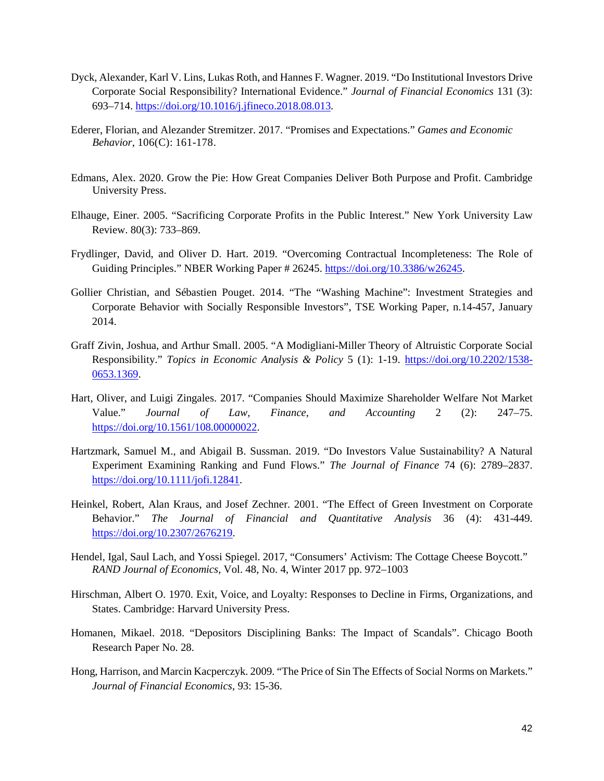- Dyck, Alexander, Karl V. Lins, Lukas Roth, and Hannes F. Wagner. 2019. "Do Institutional Investors Drive Corporate Social Responsibility? International Evidence." *Journal of Financial Economics* 131 (3): 693–714. [https://doi.org/10.1016/j.jfineco.2018.08.013.](https://doi.org/10.1016/j.jfineco.2018.08.013)
- Ederer, Florian, and Alezander Stremitzer. 2017. "Promises and Expectations." *Games and Economic Behavior*, 106(C): 161-178.
- Edmans, Alex. 2020. Grow the Pie: How Great Companies Deliver Both Purpose and Profit. Cambridge University Press.
- Elhauge, Einer. 2005. "Sacrificing Corporate Profits in the Public Interest." New York University Law Review. 80(3): 733–869.
- Frydlinger, David, and Oliver D. Hart. 2019. "Overcoming Contractual Incompleteness: The Role of Guiding Principles." NBER Working Paper # 26245. [https://doi.org/10.3386/w26245.](https://doi.org/10.3386/w26245)
- Gollier Christian, and Sébastien Pouget. 2014. "The "Washing Machine": Investment Strategies and Corporate Behavior with Socially Responsible Investors", TSE Working Paper, n.14-457, January 2014.
- Graff Zivin, Joshua, and Arthur Small. 2005. "A Modigliani-Miller Theory of Altruistic Corporate Social Responsibility." *Topics in Economic Analysis & Policy* 5 (1): 1-19. [https://doi.org/10.2202/1538-](https://doi.org/10.2202/1538-0653.1369) [0653.1369.](https://doi.org/10.2202/1538-0653.1369)
- Hart, Oliver, and Luigi Zingales. 2017. "Companies Should Maximize Shareholder Welfare Not Market Value." *Journal of Law, Finance, and Accounting* 2 (2): 247–75. [https://doi.org/10.1561/108.00000022.](https://doi.org/10.1561/108.00000022)
- Hartzmark, Samuel M., and Abigail B. Sussman. 2019. "Do Investors Value Sustainability? A Natural Experiment Examining Ranking and Fund Flows." *The Journal of Finance* 74 (6): 2789–2837. [https://doi.org/10.1111/jofi.12841.](https://doi.org/10.1111/jofi.12841)
- Heinkel, Robert, Alan Kraus, and Josef Zechner. 2001. "The Effect of Green Investment on Corporate Behavior." *The Journal of Financial and Quantitative Analysis* 36 (4): 431-449. [https://doi.org/10.2307/2676219.](https://doi.org/10.2307/2676219)
- Hendel, Igal, Saul Lach, and Yossi Spiegel. 2017, "Consumers' Activism: The Cottage Cheese Boycott." *RAND Journal of Economics*, Vol. 48, No. 4, Winter 2017 pp. 972–1003
- Hirschman, Albert O. 1970. Exit, Voice, and Loyalty: Responses to Decline in Firms, Organizations, and States. Cambridge: Harvard University Press.
- Homanen, Mikael. 2018. "Depositors Disciplining Banks: The Impact of Scandals". Chicago Booth Research Paper No. 28.
- Hong, Harrison, and Marcin Kacperczyk. 2009. "The Price of Sin The Effects of Social Norms on Markets." *Journal of Financial Economics*, 93: 15-36.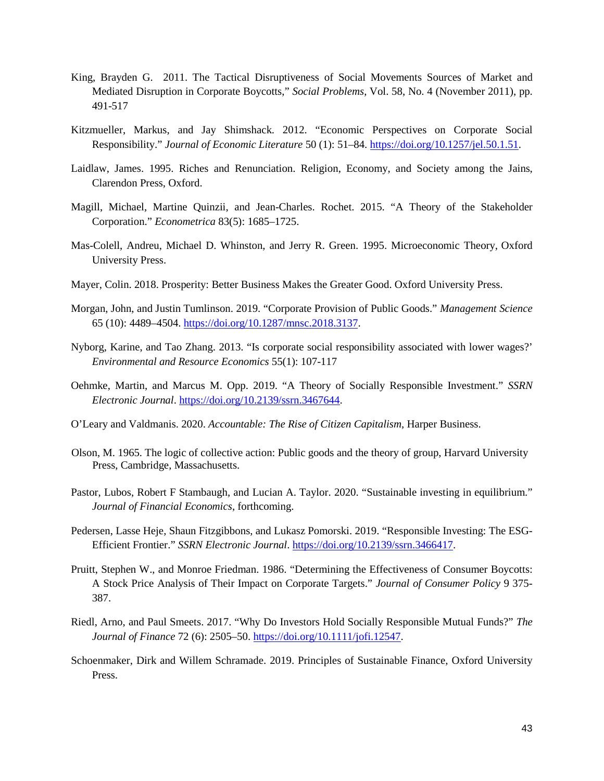- King, Brayden G. 2011. The Tactical Disruptiveness of Social Movements Sources of Market and Mediated Disruption in Corporate Boycotts," *Social Problems*, Vol. 58, No. 4 (November 2011), pp. 491-517
- Kitzmueller, Markus, and Jay Shimshack. 2012. "Economic Perspectives on Corporate Social Responsibility." *Journal of Economic Literature* 50 (1): 51–84. [https://doi.org/10.1257/jel.50.1.51.](https://doi.org/10.1257/jel.50.1.51)
- Laidlaw, James. 1995. Riches and Renunciation. Religion, Economy, and Society among the Jains, Clarendon Press, Oxford.
- Magill, Michael, Martine Quinzii, and Jean-Charles. Rochet. 2015. "A Theory of the Stakeholder Corporation." *Econometrica* 83(5): 1685–1725.
- Mas-Colell, Andreu, Michael D. Whinston, and Jerry R. Green. 1995. Microeconomic Theory, Oxford University Press.
- Mayer, Colin. 2018. Prosperity: Better Business Makes the Greater Good. Oxford University Press.
- Morgan, John, and Justin Tumlinson. 2019. "Corporate Provision of Public Goods." *Management Science* 65 (10): 4489–4504. [https://doi.org/10.1287/mnsc.2018.3137.](https://doi.org/10.1287/mnsc.2018.3137)
- Nyborg, Karine, and Tao Zhang. 2013. "Is corporate social responsibility associated with lower wages?' *Environmental and Resource Economics* 55(1): 107-117
- Oehmke, Martin, and Marcus M. Opp. 2019. "A Theory of Socially Responsible Investment." *SSRN Electronic Journal*[. https://doi.org/10.2139/ssrn.3467644.](https://doi.org/10.2139/ssrn.3467644)
- O'Leary and Valdmanis. 2020. *Accountable: The Rise of Citizen Capitalism*, Harper Business.
- Olson, M. 1965. The logic of collective action: Public goods and the theory of group, Harvard University Press, Cambridge, Massachusetts.
- Pastor, Lubos, Robert F Stambaugh, and Lucian A. Taylor. 2020. "Sustainable investing in equilibriu[m."](https://papers.ssrn.com/sol3/papers.cfm?abstract_id=3011700) *Journal of Financial Economics*, forthcoming.
- Pedersen, Lasse Heje, Shaun Fitzgibbons, and Lukasz Pomorski. 2019. "Responsible Investing: The ESG-Efficient Frontier." *SSRN Electronic Journal*. [https://doi.org/10.2139/ssrn.3466417.](https://doi.org/10.2139/ssrn.3466417)
- Pruitt, Stephen W., and Monroe Friedman. 1986. "Determining the Effectiveness of Consumer Boycotts: A Stock Price Analysis of Their Impact on Corporate Targets." *Journal of Consumer Policy* 9 375- 387.
- Riedl, Arno, and Paul Smeets. 2017. "Why Do Investors Hold Socially Responsible Mutual Funds?" *The Journal of Finance* 72 (6): 2505–50[. https://doi.org/10.1111/jofi.12547.](https://doi.org/10.1111/jofi.12547)
- Schoenmaker, Dirk and Willem Schramade. 2019. Principles of Sustainable Finance, Oxford University Press.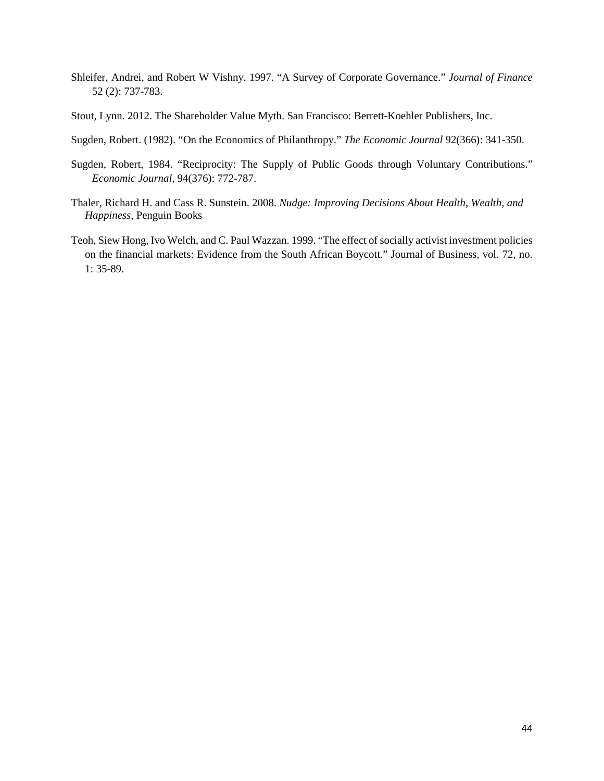- Shleifer, Andrei, and Robert W Vishny. 1997. "A Survey of Corporate Governance." *Journal of Finance* 52 (2): 737-783.
- Stout, Lynn. 2012. The Shareholder Value Myth. San Francisco: Berrett-Koehler Publishers, Inc.
- Sugden, Robert. (1982). "On the Economics of Philanthropy." *The Economic Journal* 92(366): 341-350.
- Sugden, Robert, 1984. "Reciprocity: The Supply of Public Goods through Voluntary Contributions." *Economic Journal,* 94(376): 772-787.
- Thaler, Richard H. and Cass R. Sunstein. 2008. *Nudge: Improving Decisions About Health, Wealth, and Happiness,* Penguin Books
- Teoh, Siew Hong, Ivo Welch, and C. Paul Wazzan. 1999. "The effect of socially activist investment policies on the financial markets: Evidence from the South African Boycott." Journal of Business, vol. 72, no. 1: 35-89.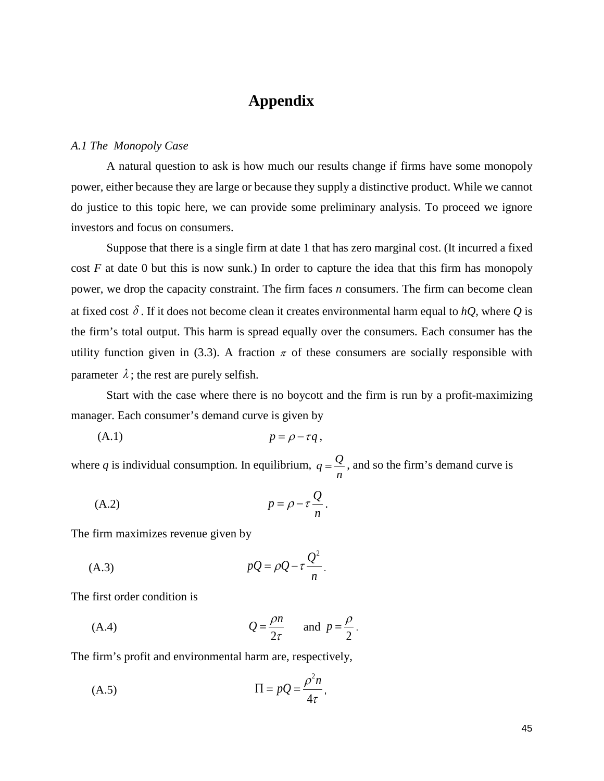# **Appendix**

#### *A.1 The Monopoly Case*

A natural question to ask is how much our results change if firms have some monopoly power, either because they are large or because they supply a distinctive product. While we cannot do justice to this topic here, we can provide some preliminary analysis. To proceed we ignore investors and focus on consumers.

 Suppose that there is a single firm at date 1 that has zero marginal cost. (It incurred a fixed cost *F* at date 0 but this is now sunk.) In order to capture the idea that this firm has monopoly power, we drop the capacity constraint. The firm faces *n* consumers. The firm can become clean at fixed cost  $\delta$ . If it does not become clean it creates environmental harm equal to *hQ*, where *Q* is the firm's total output. This harm is spread equally over the consumers. Each consumer has the utility function given in (3.3). A fraction  $\pi$  of these consumers are socially responsible with parameter  $\lambda$ ; the rest are purely selfish.

 Start with the case where there is no boycott and the firm is run by a profit-maximizing manager. Each consumer's demand curve is given by

$$
(A.1) \t\t\t p = \rho - \tau q,
$$

where *q* is individual consumption. In equilibrium,  $q = \frac{Q}{n}$ , and so the firm's demand curve is

$$
(A.2) \t\t\t p = \rho - \tau \frac{Q}{n}.
$$

The firm maximizes revenue given by

$$
pQ = \rho Q - \tau \frac{Q^2}{n}.
$$

The first order condition is

(A.4) 
$$
Q = \frac{\rho n}{2\tau} \quad \text{and } p = \frac{\rho}{2}.
$$

The firm's profit and environmental harm are, respectively,

$$
(A.5) \t \Pi = pQ = \frac{\rho^2 n}{4\tau},
$$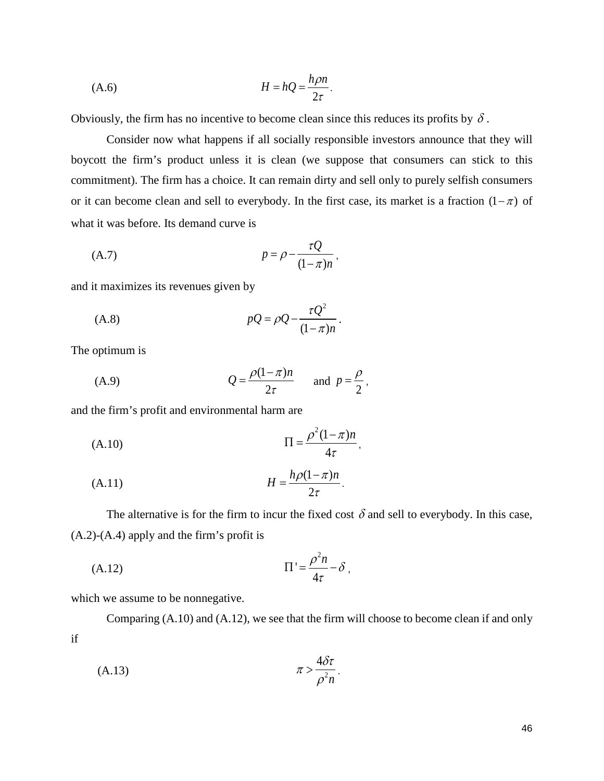$$
(A.6) \t\t\t H = hQ = \frac{h\rho n}{2\tau}.
$$

Obviously, the firm has no incentive to become clean since this reduces its profits by  $\delta$ .

Consider now what happens if all socially responsible investors announce that they will boycott the firm's product unless it is clean (we suppose that consumers can stick to this commitment). The firm has a choice. It can remain dirty and sell only to purely selfish consumers or it can become clean and sell to everybody. In the first case, its market is a fraction  $(1 - \pi)$  of what it was before. Its demand curve is

$$
(A.7) \t\t\t p = \rho - \frac{\tau Q}{(1 - \pi)n},
$$

and it maximizes its revenues given by

$$
pQ = \rho Q - \frac{\tau Q^2}{(1 - \pi)n}.
$$

The optimum is

(A.9) 
$$
Q = \frac{\rho(1-\pi)n}{2\tau} \quad \text{and } p = \frac{\rho}{2},
$$

and the firm's profit and environmental harm are

$$
\Pi = \frac{\rho^2 (1 - \pi) n}{4 \tau},
$$

$$
(A.11) \t\t\t H = \frac{h\rho(1-\pi)n}{2\tau}.
$$

The alternative is for the firm to incur the fixed cost  $\delta$  and sell to everybody. In this case, (A.2)-(A.4) apply and the firm's profit is

$$
(A.12)\qquad \qquad \Pi' = \frac{\rho^2 n}{4\tau} - \delta \ ,
$$

which we assume to be nonnegative.

Comparing (A.10) and (A.12), we see that the firm will choose to become clean if and only if

$$
\pi > \frac{4\delta\tau}{\rho^2 n}.
$$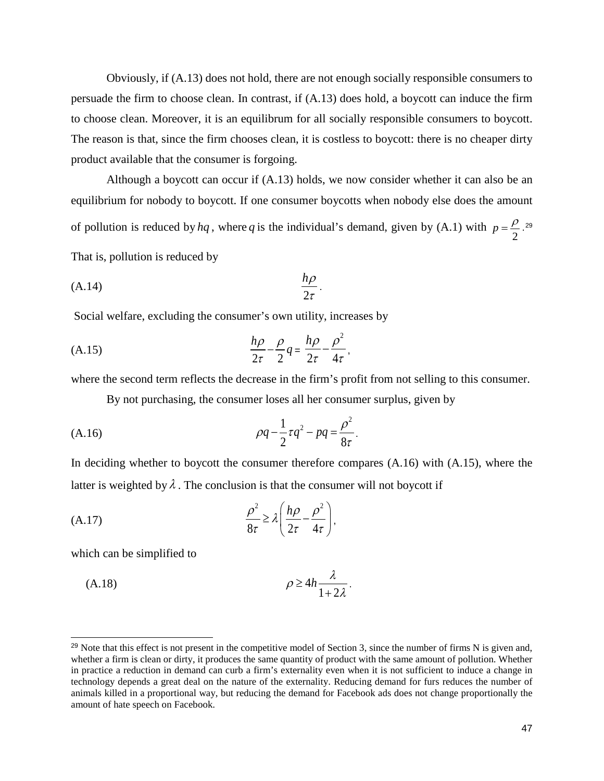Obviously, if (A.13) does not hold, there are not enough socially responsible consumers to persuade the firm to choose clean. In contrast, if (A.13) does hold, a boycott can induce the firm to choose clean. Moreover, it is an equilibrum for all socially responsible consumers to boycott. The reason is that, since the firm chooses clean, it is costless to boycott: there is no cheaper dirty product available that the consumer is forgoing.

Although a boycott can occur if (A.13) holds, we now consider whether it can also be an equilibrium for nobody to boycott. If one consumer boycotts when nobody else does the amount of pollution is reduced by *hq*, where *q* is the individual's demand, given by (A.1) with  $p = \frac{\rho}{2}$ .<sup>[29](#page-47-0)</sup> That is, pollution is reduced by

$$
\frac{h\rho}{2\tau}.
$$

Social welfare, excluding the consumer's own utility, increases by

$$
\frac{h\rho}{2\tau} - \frac{\rho}{2}q = \frac{h\rho}{2\tau} - \frac{\rho^2}{4\tau},
$$

where the second term reflects the decrease in the firm's profit from not selling to this consumer.

By not purchasing, the consumer loses all her consumer surplus, given by

(A.16) 
$$
\rho q - \frac{1}{2} \tau q^2 - pq = \frac{\rho^2}{8\tau}.
$$

In deciding whether to boycott the consumer therefore compares (A.16) with (A.15), where the latter is weighted by  $\lambda$ . The conclusion is that the consumer will not boycott if

(A.17) 
$$
\frac{\rho^2}{8\tau} \ge \lambda \left( \frac{h\rho}{2\tau} - \frac{\rho^2}{4\tau} \right),
$$

which can be simplified to

j

$$
\rho \ge 4h \frac{\lambda}{1+2\lambda}.
$$

<span id="page-47-0"></span> $^{29}$  Note that this effect is not present in the competitive model of Section 3, since the number of firms N is given and, whether a firm is clean or dirty, it produces the same quantity of product with the same amount of pollution. Whether in practice a reduction in demand can curb a firm's externality even when it is not sufficient to induce a change in technology depends a great deal on the nature of the externality. Reducing demand for furs reduces the number of animals killed in a proportional way, but reducing the demand for Facebook ads does not change proportionally the amount of hate speech on Facebook.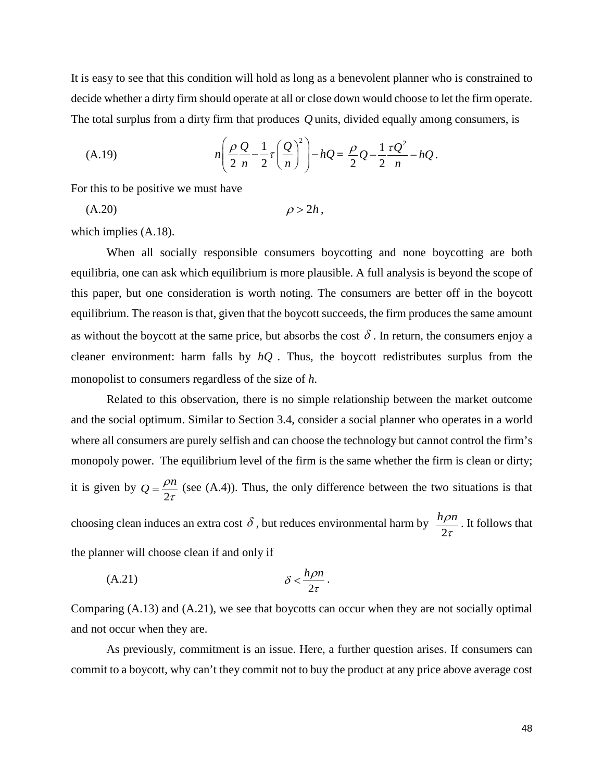It is easy to see that this condition will hold as long as a benevolent planner who is constrained to decide whether a dirty firm should operate at all or close down would choose to let the firm operate. The total surplus from a dirty firm that produces *Q* units, divided equally among consumers, is

(A.19) 
$$
n\left(\frac{\rho Q}{2n}-\frac{1}{2}\tau\left(\frac{Q}{n}\right)^2\right)-hQ=\frac{\rho}{2}Q-\frac{1}{2}\frac{\tau Q^2}{n}-hQ.
$$

For this to be positive we must have

(A.20)  $\rho > 2h$ ,

which implies (A.18).

 When all socially responsible consumers boycotting and none boycotting are both equilibria, one can ask which equilibrium is more plausible. A full analysis is beyond the scope of this paper, but one consideration is worth noting. The consumers are better off in the boycott equilibrium. The reason is that, given that the boycott succeeds, the firm produces the same amount as without the boycott at the same price, but absorbs the cost  $\delta$ . In return, the consumers enjoy a cleaner environment: harm falls by *hQ* . Thus, the boycott redistributes surplus from the monopolist to consumers regardless of the size of *h*.

Related to this observation, there is no simple relationship between the market outcome and the social optimum. Similar to Section 3.4, consider a social planner who operates in a world where all consumers are purely selfish and can choose the technology but cannot control the firm's monopoly power. The equilibrium level of the firm is the same whether the firm is clean or dirty; it is given by  $Q = \frac{\rho n}{2\tau}$  (see (A.4)). Thus, the only difference between the two situations is that choosing clean induces an extra cost  $\delta$ , but reduces environmental harm by  $\frac{h\rho n}{2\tau}$  $\frac{\partial n}{\partial \tau}$ . It follows that the planner will choose clean if and only if

$$
\delta < \frac{h\rho n}{2\tau}.
$$

Comparing (A.13) and (A.21), we see that boycotts can occur when they are not socially optimal and not occur when they are.

As previously, commitment is an issue. Here, a further question arises. If consumers can commit to a boycott, why can't they commit not to buy the product at any price above average cost